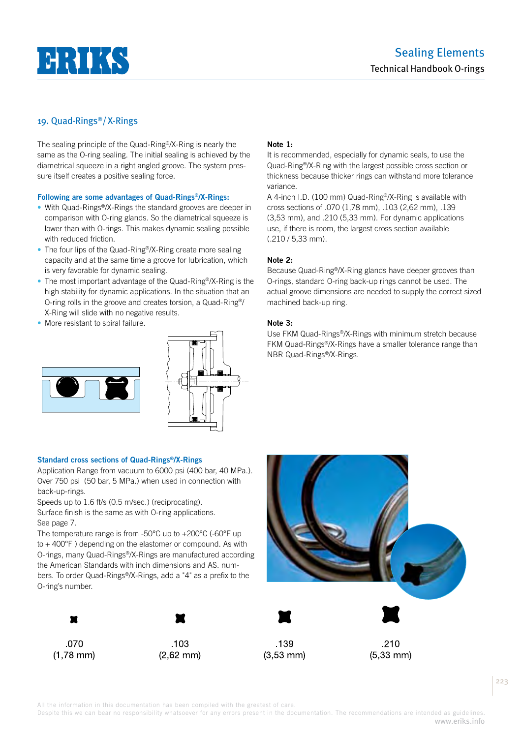

### 19. Quad-Rings®/X-Rings

The sealing principle of the Quad-Ring®/X-Ring is nearly the same as the O-ring sealing. The initial sealing is achieved by the diametrical squeeze in a right angled groove. The system pressure itself creates a positive sealing force.

#### **Following are some advantages of Quad-Rings®/X-Rings:**

- With Quad-Rings®/X-Rings the standard grooves are deeper in comparison with O-ring glands. So the diametrical squeeze is lower than with O-rings. This makes dynamic sealing possible with reduced friction.
- The four lips of the Quad-Ring®/X-Ring create more sealing capacity and at the same time a groove for lubrication, which is very favorable for dynamic sealing.
- The most important advantage of the Quad-Ring®/X-Ring is the high stability for dynamic applications. In the situation that an O-ring rolls in the groove and creates torsion, a Quad-Ring®/ X-Ring will slide with no negative results.
- More resistant to spiral failure.





#### **Standard cross sections of Quad-Rings®/X-Rings**

Application Range from vacuum to 6000 psi (400 bar, 40 MPa.). Over 750 psi (50 bar, 5 MPa.) when used in connection with back-up-rings.

Speeds up to 1.6 ft/s (0.5 m/sec.) (reciprocating).

Surface finish is the same as with O-ring applications. See page 7.

The temperature range is from -50°C up to +200°C (-60°F up to + 400°F ) depending on the elastomer or compound. As with O-rings, many Quad-Rings®/X-Rings are manufactured according the American Standards with inch dimensions and AS. numbers. To order Quad-Rings®/X-Rings, add a "4" as a prefix to the O-ring's number.



 $\blacksquare$ 





(.210 / 5,33 mm).

**Note 1:**

variance.

Because Quad-Ring®/X-Ring glands have deeper grooves than O-rings, standard O-ring back-up rings cannot be used. The actual groove dimensions are needed to supply the correct sized machined back-up ring.

It is recommended, especially for dynamic seals, to use the Quad-Ring®/X-Ring with the largest possible cross section or thickness because thicker rings can withstand more tolerance

A 4-inch I.D. (100 mm) Quad-Ring®/X-Ring is available with cross sections of .070 (1,78 mm), .103 (2,62 mm), .139 (3,53 mm), and .210 (5,33 mm). For dynamic applications use, if there is room, the largest cross section available

#### **Note 3:**

Use FKM Quad-Rings®/X-Rings with minimum stretch because FKM Quad-Rings®/X-Rings have a smaller tolerance range than NBR Quad-Rings®/X-Rings.



Despite this we can bear no responsibility whatsoever for any errors present in the documentation. The recommendations are intended as guidelines. www.eriks.info

223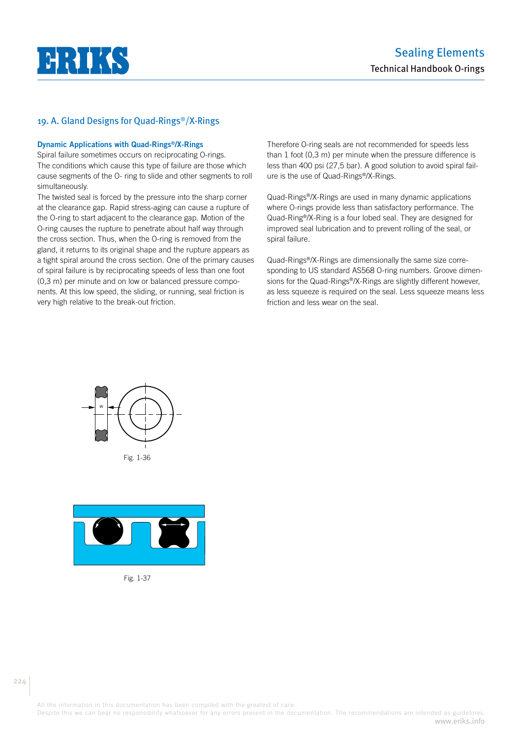

### 19. A. Gland Designs for Quad-Rings®/X-Rings

#### **Dynamic Applications with Quad-Rings®/X-Rings**

Spiral failure sometimes occurs on reciprocating O-rings. The conditions which cause this type of failure are those which cause segments of the O- ring to slide and other segments to roll simultaneously.

The twisted seal is forced by the pressure into the sharp corner at the clearance gap. Rapid stress-aging can cause a rupture of the O-ring to start adjacent to the clearance gap. Motion of the O-ring causes the rupture to penetrate about half way through the cross section. Thus, when the O-ring is removed from the gland, it returns to its original shape and the rupture appears as a tight spiral around the cross section. One of the primary causes of spiral failure is by reciprocating speeds of less than one foot (0,3 m) per minute and on low or balanced pressure components. At this low speed, the sliding, or running, seal friction is very high relative to the break-out friction.

Therefore O-ring seals are not recommended for speeds less than 1 foot (0,3 m) per minute when the pressure difference is less than 400 psi (27,5 bar). A good solution to avoid spiral failure is the use of Quad-Rings®/X-Rings.

Quad-Rings®/X-Rings are used in many dynamic applications where O-rings provide less than satisfactory performance. The Quad-Ring®/X-Ring is a four lobed seal. They are designed for improved seal lubrication and to prevent rolling of the seal, or spiral failure.

Quad-Rings®/X-Rings are dimensionally the same size corresponding to US standard AS568 O-ring numbers. Groove dimensions for the Quad-Rings®/X-Rings are slightly different however, as less squeeze is required on the seal. Less squeeze means less friction and less wear on the seal.



Fig. 1-36



Fig. 1-37

All the information in this documentation has been compiled with the greatest of care.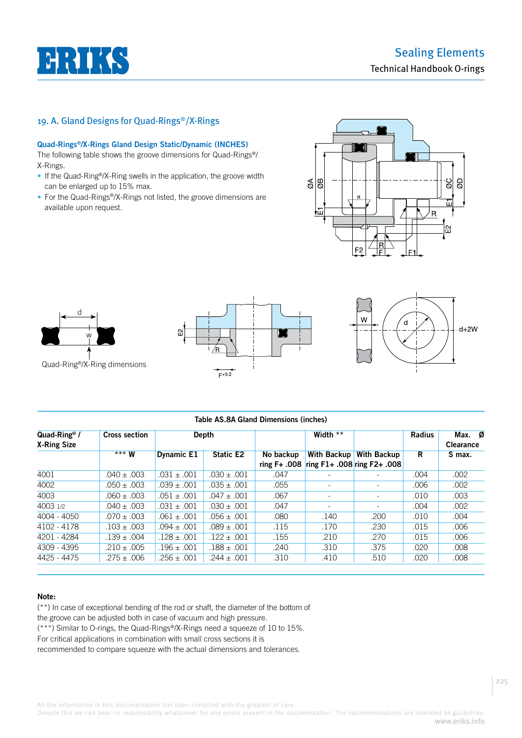# **HHIK**

## 19. A. Gland Designs for Quad-Rings®/X-Rings

#### **Quad-Rings®/X-Rings Gland Design Static/Dynamic (INCHES)**

The following table shows the groove dimensions for Quad-Rings®/ X-Rings.

- If the Quad-Ring®/X-Ring swells in the application, the groove width can be enlarged up to 15% max.
- For the Quad-Rings®/X-Rings not listed, the groove dimensions are available upon request.





Quad-Ring®/X-Ring dimensions





#### **Table AS.8A Gland Dimensions (inches)**

| Quad-Ring <sup>®</sup> /<br>X-Ring Size | Cross section   |                   | Depth           |                             | Width **                                       |                          | <b>Radius</b> | Max. Ø<br><b>Clearance</b> |  |
|-----------------------------------------|-----------------|-------------------|-----------------|-----------------------------|------------------------------------------------|--------------------------|---------------|----------------------------|--|
|                                         | $***$ W         | <b>Dynamic E1</b> | Static E2       | No backup<br>ring $F+$ .008 | With Backup<br>ring $F1+ .008$ ring $F2+ .008$ | <b>With Backup</b>       | R             | S max.                     |  |
| 4001                                    | $.040 \pm .003$ | $.031 \pm .001$   | $.030 \pm .001$ | .047                        | $\overline{a}$                                 |                          | .004          | .002                       |  |
| 4002                                    | $.050 \pm .003$ | $.039 \pm .001$   | $.035 \pm .001$ | .055                        | $\overline{\phantom{a}}$                       | $\overline{\phantom{0}}$ | .006          | .002                       |  |
| 4003                                    | $.060 \pm .003$ | $.051 \pm .001$   | $.047 \pm .001$ | .067                        | $\overline{\phantom{a}}$                       | $\sim$                   | .010          | .003                       |  |
| 4003 1/2                                | $.040 \pm .003$ | $.031 \pm .001$   | $.030 \pm .001$ | .047                        | $\overline{\phantom{a}}$                       | $\sim$                   | .004          | .002                       |  |
| 4004 - 4050                             | $.070 \pm .003$ | $.061 \pm .001$   | $.056 \pm .001$ | .080                        | .140                                           | .200                     | .010          | .004                       |  |
| $4102 - 4178$                           | $.103 \pm .003$ | $.094 + .001$     | $.089 + .001$   | .115                        | .170                                           | .230                     | .015          | .006                       |  |
| 4201 - 4284                             | $.139 \pm .004$ | $.128 \pm .001$   | $.122 \pm .001$ | .155                        | .210                                           | .270                     | .015          | .006                       |  |
| 4309 - 4395                             | $.210 \pm .005$ | $.196 \pm .001$   | $.188 \pm .001$ | .240                        | .310                                           | .375                     | .020          | .008                       |  |
| 4425 - 4475                             | $.275 \pm .006$ | $.256 \pm .001$   | $.244 \pm .001$ | .310                        | .410                                           | .510                     | .020          | .008                       |  |

#### **Note:**

(\*\*) In case of exceptional bending of the rod or shaft, the diameter of the bottom of the groove can be adjusted both in case of vacuum and high pressure. (\*\*\*) Similar to O-rings, the Quad-Rings®/X-Rings need a squeeze of 10 to 15%. For critical applications in combination with small cross sections it is recommended to compare squeeze with the actual dimensions and tolerances.

225

All the information in this documentation has been compiled with the greatest of care.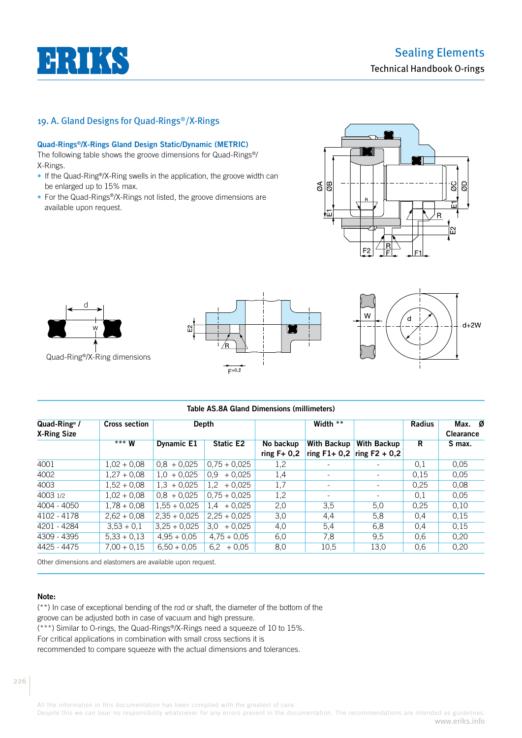## **HIJIKY**

## 19. A. Gland Designs for Quad-Rings®/X-Rings

#### **Quad-Rings®/X-Rings Gland Design Static/Dynamic (METRIC)**

The following table shows the groove dimensions for Quad-Rings®/ X-Rings.

- If the Quad-Ring®/X-Ring swells in the application, the groove width can be enlarged up to 15% max.
- For the Quad-Rings®/X-Rings not listed, the groove dimensions are available upon request.









#### **Table AS.8A Gland Dimensions (millimeters)**

| Quad-Ring <sup>®</sup> /<br>X-Ring Size | Cross section |                   | <b>Depth</b>    |     | Width **                 |                                                      | <b>Radius</b> | Max. $\emptyset$<br><b>Clearance</b> |  |
|-----------------------------------------|---------------|-------------------|-----------------|-----|--------------------------|------------------------------------------------------|---------------|--------------------------------------|--|
|                                         | $***$ W       | <b>Dynamic E1</b> | Static E2       |     | With Backup              | <b>With Backup</b><br>ring $F1+ 0.2$ ring $F2 + 0.2$ | R             | S max.                               |  |
| 4001                                    | $1,02 + 0.08$ | $0,8 + 0,025$     | $0.75 + 0.025$  | 1,2 |                          |                                                      | 0,1           | 0.05                                 |  |
| 4002                                    | $1.27 + 0.08$ | $+0.025$<br>1.0   | $+0.025$<br>0.9 | 1,4 | $\overline{\phantom{a}}$ |                                                      | 0.15          | 0.05                                 |  |
| 4003                                    | $1,52 + 0.08$ | $1.3 + 0.025$     | $1.2 + 0.025$   | 1,7 | $\overline{\phantom{a}}$ | $\overline{\phantom{a}}$                             | 0.25          | 0.08                                 |  |
| 4003 1/2                                | $1.02 + 0.08$ | $0.8 + 0.025$     | $0.75 + 0.025$  | 1,2 | $\qquad \qquad$          | $\overline{\phantom{a}}$                             | 0,1           | 0.05                                 |  |
| 4004 - 4050                             | $1,78 + 0.08$ | $1,55 + 0,025$    | $+0.025$<br>1.4 | 2,0 | 3,5                      | 5,0                                                  | 0,25          | 0,10                                 |  |
| 4102 - 4178                             | $2,62 + 0,08$ | $2.35 + 0.025$    | $2.25 + 0.025$  | 3,0 | 4,4                      | 5,8                                                  | 0.4           | 0.15                                 |  |
| 4201 - 4284                             | $3,53 + 0,1$  | $3.25 + 0.025$    | $3.0 + 0.025$   | 4,0 | 5,4                      | 6,8                                                  | 0,4           | 0.15                                 |  |
| 4309 - 4395                             | $5.33 + 0.13$ | $4,95 + 0,05$     | $4.75 + 0.05$   | 6.0 | 7,8                      | 9,5                                                  | 0,6           | 0.20                                 |  |
| 4425 - 4475                             | $7.00 + 0.15$ | $6.50 + 0.05$     | 6.2<br>$+0.05$  | 8,0 | 10.5                     | 13,0                                                 | 0,6           | 0,20                                 |  |

Other dimensions and elastomers are available upon request.

#### **Note:**

(\*\*) In case of exceptional bending of the rod or shaft, the diameter of the bottom of the groove can be adjusted both in case of vacuum and high pressure. (\*\*\*) Similar to O-rings, the Quad-Rings®/X-Rings need a squeeze of 10 to 15%. For critical applications in combination with small cross sections it is recommended to compare squeeze with the actual dimensions and tolerances.

All the information in this documentation has been compiled with the greatest of care.

Despite this we can bear no responsibility whatsoever for any errors present in the documentation. The recommendations are intended as guidelines. www.eriks.info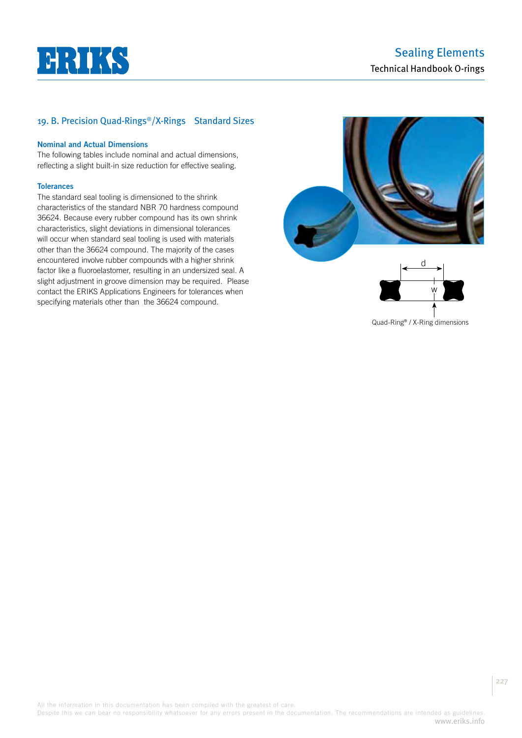

#### **Nominal and Actual Dimensions**

The following tables include nominal and actual dimensions, reflecting a slight built-in size reduction for effective sealing.

#### **Tolerances**

The standard seal tooling is dimensioned to the shrink characteristics of the standard NBR 70 hardness compound 36624. Because every rubber compound has its own shrink characteristics, slight deviations in dimensional tolerances will occur when standard seal tooling is used with materials other than the 36624 compound. The majority of the cases encountered involve rubber compounds with a higher shrink factor like a fluoroelastomer, resulting in an undersized seal. A slight adjustment in groove dimension may be required. Please contact the ERIKS Applications Engineers for tolerances when specifying materials other than the 36624 compound.



All the information in this documentation has been compiled with the greatest of care. Despite this we can bear no responsibility whatsoever for any errors present in the documentation. The recommendations are intended as guidelines.

www.eriks.info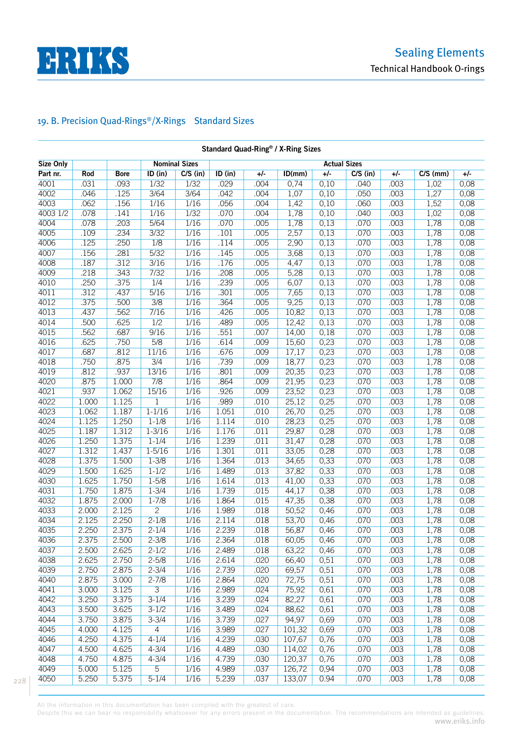

| Standard Quad-Ring <sup>®</sup> / X-Ring Sizes |                                             |             |                 |            |         |       |        |       |            |       |            |      |
|------------------------------------------------|---------------------------------------------|-------------|-----------------|------------|---------|-------|--------|-------|------------|-------|------------|------|
| <b>Size Only</b>                               | <b>Nominal Sizes</b><br><b>Actual Sizes</b> |             |                 |            |         |       |        |       |            |       |            |      |
| Part nr.                                       | Rod                                         | <b>Bore</b> | $ID$ (in)       | $C/S$ (in) | ID (in) | $+/-$ | ID(mm) | $+/-$ | $C/S$ (in) | $+/-$ | $C/S$ (mm) | +/-  |
| 4001                                           | .031                                        | .093        | 1/32            | 1/32       | .029    | .004  | 0,74   | 0,10  | .040       | .003  | 1,02       | 0,08 |
| 4002                                           | .046                                        | .125        | 3/64            | 3/64       | .042    | .004  | 1,07   | 0,10  | .050       | .003  | 1,27       | 0,08 |
| 4003                                           | .062                                        | .156        | 1/16            | 1/16       | .056    | .004  | 1,42   | 0,10  | .060       | .003  | 1,52       | 0,08 |
| 4003 1/2                                       | .078                                        | .141        | 1/16            | 1/32       | .070    | .004  | 1,78   | 0,10  | .040       | .003  | 1,02       | 0,08 |
| 4004                                           | .078                                        | .203        | 5/64            | 1/16       | .070    | .005  | 1,78   | 0,13  | .070       | .003  | 1,78       | 0,08 |
| 4005                                           | .109                                        | .234        | 3/32            | 1/16       | .101    | .005  | 2,57   | 0,13  | .070       | .003  | 1,78       | 0,08 |
| 4006                                           | .125                                        | .250        | 1/8             | 1/16       | .114    | .005  | 2,90   | 0,13  | .070       | .003  | 1,78       | 0,08 |
| 4007                                           | .156                                        | .281        | 5/32            | 1/16       | .145    | .005  | 3,68   | 0,13  | .070       | .003  | 1,78       | 0,08 |
| 4008                                           | .187                                        | .312        | 3/16            | 1/16       | .176    | .005  | 4,47   | 0,13  | .070       | .003  | 1,78       | 0,08 |
| 4009                                           | .218                                        | .343        | 7/32            | 1/16       | .208    | .005  | 5,28   | 0,13  | .070       | .003  | 1,78       | 0,08 |
| 4010                                           | .250                                        | .375        | 1/4             | 1/16       | .239    | .005  | 6,07   | 0,13  | .070       | .003  | 1,78       | 0,08 |
| 4011                                           | .312                                        | .437        | 5/16            | 1/16       | .301    | .005  | 7,65   | 0,13  | .070       | .003  | 1,78       | 0,08 |
| 4012                                           | .375                                        | .500        | 3/8             | 1/16       | .364    | .005  | 9,25   | 0,13  | .070       | .003  | 1,78       | 0,08 |
| 4013                                           | .437                                        | .562        | 7/16            | 1/16       | .426    | .005  | 10,82  | 0,13  | .070       | .003  | 1,78       | 0,08 |
| 4014                                           | .500                                        | .625        | 1/2             | 1/16       | .489    | .005  | 12,42  | 0,13  | .070       | .003  | 1,78       | 0,08 |
| 4015                                           | .562                                        | .687        | 9/16            | 1/16       | .551    | .007  | 14,00  | 0,18  | .070       | .003  | 1,78       | 0,08 |
| 4016                                           | .625                                        | .750        | 5/8             | 1/16       | .614    | .009  | 15,60  | 0,23  | .070       | .003  | 1,78       | 0,08 |
| 4017                                           | .687                                        | .812        | 11/16           | 1/16       | .676    | .009  | 17,17  | 0,23  | .070       | .003  | 1,78       | 0,08 |
| 4018                                           | .750                                        | .875        | 3/4             | 1/16       | .739    | .009  | 18,77  | 0,23  | .070       | .003  | 1,78       | 0,08 |
| 4019                                           | .812                                        | .937        | 13/16           | 1/16       | .801    | .009  | 20,35  | 0,23  | .070       | .003  | 1,78       | 0,08 |
| 4020                                           | .875                                        | 1.000       | 7/8             | 1/16       | .864    | .009  | 21,95  | 0,23  | .070       | .003  | 1,78       | 0,08 |
| 4021                                           | .937                                        | 1.062       | 15/16           | 1/16       | .926    | .009  | 23,52  | 0,23  | .070       | .003  | 1,78       | 0,08 |
| 4022                                           | 1.000                                       | 1.125       |                 | 1/16       | .989    | .010  | 25,12  | 0,25  | .070       | .003  | 1,78       | 0,08 |
| 4023                                           | 1.062                                       | 1.187       | 1<br>$1 - 1/16$ | 1/16       | 1.051   | .010  | 26,70  | 0,25  | .070       | .003  | 1,78       | 0,08 |
| 4024                                           |                                             | 1.250       | $1 - 1/8$       | 1/16       |         | .010  | 28,23  |       | .070       | .003  |            |      |
|                                                | 1.125                                       |             |                 |            | 1.114   |       |        | 0,25  | .070       |       | 1,78       | 0,08 |
| 4025                                           | 1.187                                       | 1.312       | $1 - 3/16$      | 1/16       | 1.176   | .011  | 29,87  | 0,28  |            | .003  | 1,78       | 0,08 |
| 4026                                           | 1.250                                       | 1.375       | $1 - 1/4$       | 1/16       | 1.239   | .011  | 31,47  | 0,28  | .070       | .003  | 1,78       | 0,08 |
| 4027                                           | 1.312                                       | 1.437       | $1 - 5/16$      | 1/16       | 1.301   | .011  | 33,05  | 0,28  | .070       | .003  | 1,78       | 0,08 |
| 4028                                           | 1.375                                       | 1.500       | $1 - 3/8$       | 1/16       | 1.364   | .013  | 34,65  | 0,33  | .070       | .003  | 1,78       | 0,08 |
| 4029                                           | 1.500                                       | 1.625       | $1 - 1/2$       | 1/16       | 1.489   | .013  | 37,82  | 0,33  | .070       | .003  | 1,78       | 0,08 |
| 4030                                           | 1.625                                       | 1.750       | $1 - 5/8$       | 1/16       | 1.614   | .013  | 41,00  | 0,33  | .070       | .003  | 1,78       | 0,08 |
| 4031                                           | 1.750                                       | 1.875       | $1 - 3/4$       | 1/16       | 1.739   | .015  | 44,17  | 0,38  | .070       | .003  | 1,78       | 0,08 |
| 4032                                           | 1.875                                       | 2.000       | $1 - 7/8$       | 1/16       | 1.864   | .015  | 47,35  | 0,38  | .070       | .003  | 1,78       | 0,08 |
| 4033                                           | 2.000                                       | 2.125       | $\overline{2}$  | 1/16       | 1.989   | .018  | 50,52  | 0,46  | .070       | .003  | 1,78       | 0,08 |
| 4034                                           | 2.125                                       | 2.250       | $2 - 1/8$       | 1/16       | 2.114   | .018  | 53,70  | 0,46  | .070       | .003  | 1,78       | 0,08 |
| 4035                                           | 2.250                                       | 2.375       | $2 - 1/4$       | 1/16       | 2.239   | .018  | 56,87  | 0,46  | .070       | .003  | 1,78       | 0,08 |
| 4036                                           | 2.375                                       | 2.500       | $2 - 3/8$       | 1/16       | 2.364   | .018  | 60,05  | 0,46  | .070       | .003  | 1,78       | 0,08 |
| 4037                                           | 2.500                                       | 2.625       | $2 - 1/2$       | 1/16       | 2.489   | .018  | 63,22  | 0,46  | .070       | .003  | 1,78       | 0,08 |
| 4038                                           | 2.625                                       | 2.750       | $2 - 5/8$       | 1/16       | 2.614   | .020  | 66,40  | 0,51  | .070       | .003  | 1,78       | 0,08 |
| 4039                                           | 2.750                                       | 2.875       | $2 - 3/4$       | 1/16       | 2.739   | .020  | 69,57  | 0,51  | .070       | .003  | 1,78       | 0,08 |
| 4040                                           | 2.875                                       | 3.000       | $2 - 7/8$       | 1/16       | 2.864   | .020  | 72,75  | 0,51  | .070       | .003  | 1,78       | 0,08 |
| 4041                                           | 3.000                                       | 3.125       | $\overline{3}$  | 1/16       | 2.989   | .024  | 75,92  | 0,61  | .070       | .003  | 1,78       | 0,08 |
| 4042                                           | 3.250                                       | 3.375       | $3 - 1/4$       | 1/16       | 3.239   | .024  | 82,27  | 0,61  | .070       | .003  | 1,78       | 0,08 |
| 4043                                           | 3.500                                       | 3.625       | $3 - 1/2$       | 1/16       | 3.489   | .024  | 88,62  | 0,61  | .070       | .003  | 1,78       | 0,08 |
| 4044                                           | 3.750                                       | 3.875       | $3 - 3/4$       | 1/16       | 3.739   | .027  | 94,97  | 0,69  | .070       | .003  | 1,78       | 0,08 |
| 4045                                           | 4.000                                       | 4.125       | $\overline{4}$  | 1/16       | 3.989   | .027  | 101,32 | 0,69  | .070       | .003  | 1,78       | 0,08 |
| 4046                                           | 4.250                                       | 4.375       | $4 - 1/4$       | 1/16       | 4.239   | .030  | 107,67 | 0,76  | .070       | .003  | 1,78       | 0,08 |
| 4047                                           | 4.500                                       | 4.625       | $4 - 3/4$       | 1/16       | 4.489   | .030  | 114,02 | 0,76  | .070       | .003  | 1,78       | 0,08 |
| 4048                                           | 4.750                                       | 4.875       | $4 - 3/4$       | 1/16       | 4.739   | .030  | 120,37 | 0,76  | .070       | .003  | 1,78       | 0,08 |
| 4049                                           | 5.000                                       | 5.125       | $\overline{5}$  | 1/16       | 4.989   | .037  | 126,72 | 0,94  | .070       | .003  | 1,78       | 0,08 |
| 4050                                           | 5.250                                       | 5.375       | $5 - 1/4$       | 1/16       | 5.239   | .037  | 133,07 | 0.94  | .070       | .003  | 1,78       | 0,08 |

228

All the information in this documentation has been compiled with the greatest of care.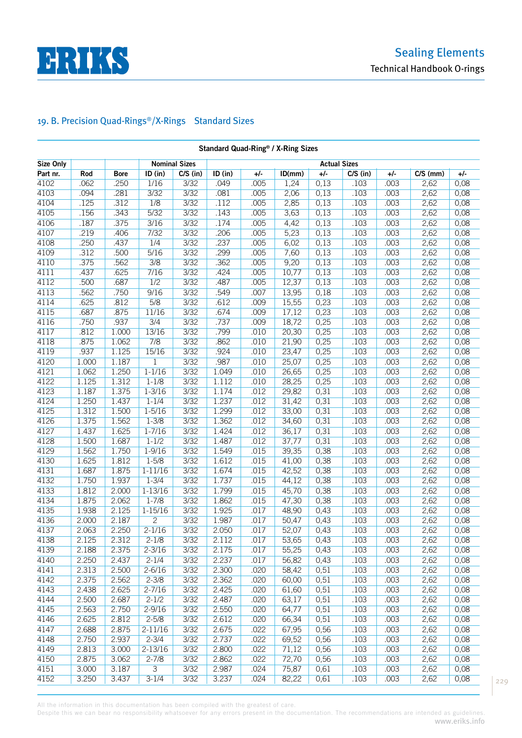

| Standard Quad-Ring <sup>®</sup> / X-Ring Sizes |       |             |                  |                      |         |      |                     |       |            |       |            |      |  |
|------------------------------------------------|-------|-------------|------------------|----------------------|---------|------|---------------------|-------|------------|-------|------------|------|--|
| Size Only                                      |       |             |                  | <b>Nominal Sizes</b> |         |      | <b>Actual Sizes</b> |       |            |       |            |      |  |
| Part nr.                                       | Rod   | <b>Bore</b> | ID (in)          | $C/S$ (in)           | ID (in) | +/-  | ID(mm)              | $+/-$ | $C/S$ (in) | $+/-$ | $C/S$ (mm) | +/-  |  |
| 4102                                           | .062  | .250        | 1/16             | 3/32                 | .049    | .005 | 1,24                | 0,13  | .103       | .003  | 2,62       | 0,08 |  |
| 4103                                           | .094  | .281        | 3/32             | 3/32                 | .081    | .005 | 2,06                | 0,13  | .103       | .003  | 2,62       | 0,08 |  |
| 4104                                           | .125  | .312        | $\overline{1/8}$ | 3/32                 | .112    | .005 | 2,85                | 0,13  | .103       | .003  | 2,62       | 0,08 |  |
| 4105                                           | .156  | .343        | 5/32             | 3/32                 | .143    | .005 | 3,63                | 0,13  | .103       | .003  | 2,62       | 0,08 |  |
| 4106                                           | .187  | .375        | 3/16             | 3/32                 | .174    | .005 | 4,42                | 0,13  | .103       | .003  | 2,62       | 0,08 |  |
| 4107                                           | .219  | .406        | 7/32             | 3/32                 | .206    | .005 | 5,23                | 0,13  | .103       | .003  | 2,62       | 0,08 |  |
| 4108                                           | .250  | .437        | 1/4              | 3/32                 | .237    | .005 | 6,02                | 0,13  | .103       | .003  | 2,62       | 0,08 |  |
| 4109                                           | .312  | .500        | 5/16             | 3/32                 | .299    | .005 | 7,60                | 0,13  | .103       | .003  | 2,62       | 0,08 |  |
| 4110                                           | .375  | .562        | $\overline{3/8}$ | 3/32                 | .362    | .005 | 9,20                | 0,13  | .103       | .003  | 2,62       | 0,08 |  |
| 4111                                           | .437  | .625        | 7/16             | 3/32                 | .424    | .005 | 10,77               | 0,13  | .103       | .003  | 2,62       | 0,08 |  |
| 4112                                           | .500  | .687        | 1/2              | 3/32                 | .487    | .005 | 12,37               | 0,13  | .103       | .003  | 2,62       | 0,08 |  |
| 4113                                           | .562  | .750        | 9/16             | 3/32                 | .549    | .007 | 13,95               | 0,18  | .103       | .003  | 2,62       | 0,08 |  |
| 4114                                           | .625  | .812        | 5/8              | 3/32                 | .612    | .009 | 15,55               | 0,23  | .103       | .003  | 2,62       | 0,08 |  |
| 4115                                           | .687  | .875        | 11/16            | 3/32                 | .674    | .009 | 17,12               | 0,23  | .103       | .003  | 2,62       | 0,08 |  |
| 4116                                           | .750  | .937        | 3/4              | $\frac{3}{32}$       | .737    | .009 | 18,72               | 0,25  | .103       | .003  | 2,62       | 0,08 |  |
| 4117                                           | .812  | 1.000       | 13/16            | 3/32                 | .799    | .010 | 20,30               | 0,25  | .103       | .003  | 2,62       | 0,08 |  |
| 4118                                           | .875  | 1.062       | 7/8              | 3/32                 | .862    | .010 | 21,90               | 0,25  | .103       | .003  | 2,62       | 0,08 |  |
| 4119                                           | .937  | 1.125       | 15/16            | 3/32                 | .924    | .010 | 23,47               | 0,25  | .103       | .003  | 2,62       | 0,08 |  |
| 4120                                           | 1.000 | 1.187       | $\mathbf 1$      | 3/32                 | .987    | .010 | 25,07               | 0,25  | .103       | .003  | 2,62       | 0,08 |  |
| 4121                                           | 1.062 | 1.250       | $1 - 1/16$       | 3/32                 | 1.049   | .010 | 26,65               | 0,25  | .103       | .003  | 2,62       | 0,08 |  |
| 4122                                           | 1.125 | 1.312       | $1 - 1/8$        | 3/32                 | 1.112   | .010 | 28,25               | 0,25  | .103       | .003  | 2,62       | 0,08 |  |
| 4123                                           | 1.187 | 1.375       | $1 - 3/16$       | 3/32                 | 1.174   | .012 | 29,82               | 0,31  | .103       | .003  | 2,62       | 0,08 |  |
| 4124                                           | 1.250 | 1.437       | $1 - 1/4$        | 3/32                 | 1.237   | .012 | 31,42               | 0,31  | .103       | .003  | 2,62       | 0,08 |  |
| 4125                                           | 1.312 | 1.500       | $1 - 5/16$       | 3/32                 | 1.299   | .012 | 33,00               | 0,31  | .103       | .003  | 2,62       | 0,08 |  |
| 4126                                           | 1.375 | 1.562       | $1 - 3/8$        | 3/32                 | 1.362   | .012 | 34,60               | 0,31  | .103       | .003  | 2,62       | 0,08 |  |
| 4127                                           | 1.437 | 1.625       | $1 - 7/16$       | 3/32                 | 1.424   | .012 | 36,17               | 0,31  | .103       | .003  | 2,62       | 0,08 |  |
| 4128                                           | 1.500 | 1.687       | $1 - 1/2$        | 3/32                 | 1.487   | .012 | 37,77               | 0,31  | .103       | .003  | 2,62       | 0,08 |  |
| 4129                                           | 1.562 | 1.750       | $1 - 9/16$       | 3/32                 | 1.549   | .015 | 39,35               | 0,38  | .103       | .003  | 2,62       | 0,08 |  |
| 4130                                           | 1.625 | 1.812       | $1 - 5/8$        | 3/32                 | 1.612   | .015 | 41,00               | 0,38  | .103       | .003  | 2,62       | 0,08 |  |
| 4131                                           | 1.687 | 1.875       | $1 - 11/16$      | 3/32                 | 1.674   | .015 | 42,52               | 0,38  | .103       | .003  | 2,62       | 0,08 |  |
| 4132                                           | 1.750 | 1.937       | $1 - 3/4$        | 3/32                 | 1.737   | .015 | 44,12               | 0,38  | .103       | .003  | 2,62       | 0,08 |  |
| 4133                                           | 1.812 | 2.000       | $1 - 13/16$      | 3/32                 | 1.799   | .015 | 45,70               | 0,38  | .103       | .003  | 2,62       | 0,08 |  |
| 4134                                           | 1.875 | 2.062       | $1 - 7/8$        | 3/32                 | 1.862   | .015 | 47,30               | 0,38  | .103       | .003  | 2,62       | 0,08 |  |
| 4135                                           | 1.938 | 2.125       | $1 - 15/16$      | 3/32                 | 1.925   | .017 | 48,90               | 0,43  | .103       | .003  | 2,62       | 0,08 |  |
| 4136                                           | 2.000 | 2.187       | $\overline{2}$   | 3/32                 | 1.987   | .017 | 50,47               | 0,43  | .103       | .003  | 2,62       | 0,08 |  |
| 4137                                           | 2.063 | 2.250       | $2 - 1/16$       | 3/32                 | 2.050   | .017 | 52,07               | 0,43  | .103       | .003  | 2,62       | 0,08 |  |
| 4138                                           | 2.125 | 2.312       | $2 - 1/8$        | $\frac{3}{32}$       | 2.112   | .017 | 53,65               | 0,43  | .103       | .003  | 2,62       | 0,08 |  |
| 4139                                           | 2.188 | 2.375       | $2 - 3/16$       | 3/32                 | 2.175   | .017 | 55,25               | 0,43  | .103       | .003  | 2,62       | 0,08 |  |
| 4140                                           | 2.250 | 2.437       | $2 - 1/4$        | 3/32                 | 2.237   | .017 | 56,82               | 0,43  | .103       | .003  | 2,62       | 0,08 |  |
| 4141                                           | 2.313 | 2.500       | $2 - 6/16$       | 3/32                 | 2.300   | .020 | 58,42               | 0,51  | .103       | .003  | 2,62       | 0,08 |  |
| 4142                                           | 2.375 | 2.562       | $2 - 3/8$        | 3/32                 | 2.362   | .020 | 60,00               | 0,51  | .103       | .003  | 2,62       | 0,08 |  |
| 4143                                           | 2.438 | 2.625       | $2 - 7/16$       | 3/32                 | 2.425   | .020 | 61,60               | 0,51  | .103       | .003  | 2,62       | 0,08 |  |
| 4144                                           | 2.500 | 2.687       | $2 - 1/2$        | 3/32                 | 2.487   | .020 | 63,17               | 0,51  | .103       | .003  | 2,62       | 0,08 |  |
| 4145                                           | 2.563 | 2.750       | $2 - 9/16$       | 3/32                 | 2.550   | .020 | 64,77               | 0,51  | .103       | .003  | 2,62       | 0,08 |  |
| 4146                                           | 2.625 | 2.812       | $2 - 5/8$        | 3/32                 | 2.612   | .020 | 66,34               | 0,51  | .103       | .003  | 2,62       | 0,08 |  |
| 4147                                           | 2.688 | 2.875       | $2 - 11/16$      | 3/32                 | 2.675   | .022 | 67,95               | 0,56  | .103       | .003  | 2,62       | 0,08 |  |
| 4148                                           | 2.750 | 2.937       | $2 - 3/4$        | 3/32                 | 2.737   | .022 | 69,52               | 0,56  | .103       | .003  | 2,62       | 0,08 |  |
| 4149                                           | 2.813 | 3.000       | $2 - 13/16$      | 3/32                 | 2.800   | .022 | 71,12               | 0,56  | .103       | .003  | 2,62       | 0,08 |  |
| 4150                                           | 2.875 | 3.062       | $2 - 7/8$        | 3/32                 | 2.862   | .022 | 72,70               | 0,56  | .103       | .003  | 2,62       | 0,08 |  |
| 4151                                           | 3.000 | 3.187       | $\overline{3}$   | 3/32                 | 2.987   | .024 | 75,87               | 0,61  | .103       | .003  | 2,62       | 0,08 |  |
| 4152                                           | 3.250 | 3.437       | $3 - 1/4$        | 3/32                 | 3.237   | .024 | 82,22               | 0,61  | .103       | .003  | 2,62       | 0,08 |  |
|                                                |       |             |                  |                      |         |      |                     |       |            |       |            |      |  |

All the information in this documentation has been compiled with the greatest of care.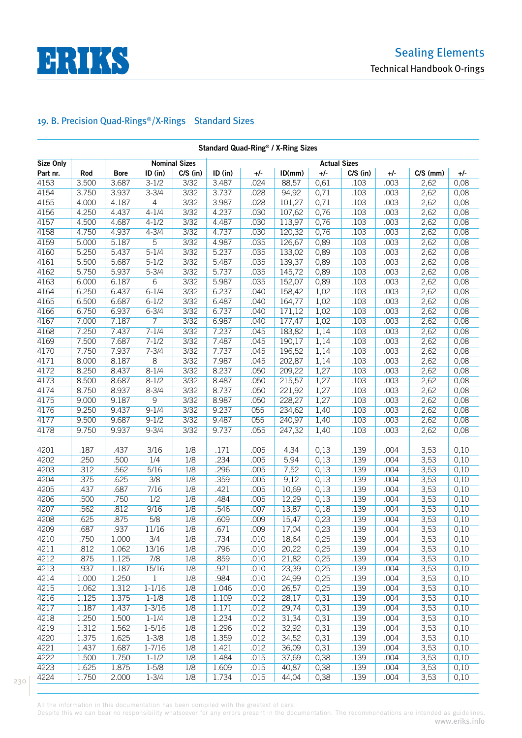

| Standard Quad-Ring® / X-Ring Sizes |       |             |                |                      |         |       |        |                     |            |       |            |       |  |
|------------------------------------|-------|-------------|----------------|----------------------|---------|-------|--------|---------------------|------------|-------|------------|-------|--|
| Size Only                          |       |             |                | <b>Nominal Sizes</b> |         |       |        | <b>Actual Sizes</b> |            |       |            |       |  |
| Part nr.                           | Rod   | <b>Bore</b> | ID (in)        | $C/S$ (in)           | ID (in) | $+/-$ | ID(mm) | $+/-$               | $C/S$ (in) | $+/-$ | $C/S$ (mm) | $+/-$ |  |
| 4153                               | 3.500 | 3.687       | $3 - 1/2$      | 3/32                 | 3.487   | .024  | 88,57  | 0,61                | .103       | .003  | 2,62       | 0,08  |  |
| 4154                               | 3.750 | 3.937       | $3 - 3/4$      | 3/32                 | 3.737   | .028  | 94,92  | 0,71                | .103       | .003  | 2,62       | 0,08  |  |
| 4155                               | 4.000 | 4.187       | $\overline{4}$ | 3/32                 | 3.987   | .028  | 101,27 | 0,71                | .103       | .003  | 2,62       | 0,08  |  |
| 4156                               | 4.250 | 4.437       | $4 - 1/4$      | 3/32                 | 4.237   | .030  | 107,62 | 0,76                | .103       | .003  | 2,62       | 0,08  |  |
| 4157                               | 4.500 | 4.687       | $4 - 1/2$      | 3/32                 | 4.487   | .030  | 113,97 | 0,76                | .103       | .003  | 2,62       | 0,08  |  |
| 4158                               | 4.750 | 4.937       | $4 - 3/4$      | 3/32                 | 4.737   | .030  | 120,32 | 0,76                | .103       | .003  | 2,62       | 0,08  |  |
| 4159                               | 5.000 | 5.187       | $\overline{5}$ | 3/32                 | 4.987   | .035  | 126,67 | 0,89                | .103       | .003  | 2,62       | 0,08  |  |
| 4160                               | 5.250 | 5.437       | $5 - 1/4$      | 3/32                 | 5.237   | .035  | 133,02 | 0,89                | .103       | .003  | 2,62       | 0,08  |  |
| 4161                               | 5.500 | 5.687       | $5 - 1/2$      | 3/32                 | 5.487   | .035  | 139,37 | 0,89                | .103       | .003  | 2,62       | 0,08  |  |
| 4162                               | 5.750 | 5.937       | $5 - 3/4$      | 3/32                 | 5.737   | .035  | 145,72 | 0,89                | .103       | .003  | 2,62       | 0,08  |  |
| 4163                               | 6.000 | 6.187       | $\overline{6}$ | 3/32                 | 5.987   | .035  | 152,07 | 0,89                | .103       | .003  | 2,62       | 0,08  |  |
| 4164                               | 6.250 | 6.437       | $6 - 1/4$      | 3/32                 | 6.237   | .040  | 158,42 | 1,02                | .103       | .003  | 2,62       | 0,08  |  |
| 4165                               | 6.500 | 6.687       | $6 - 1/2$      | $\frac{3}{32}$       | 6.487   | .040  | 164,77 | 1,02                | .103       | .003  | 2,62       | 0,08  |  |
| 4166                               | 6.750 | 6.937       | $6 - 3/4$      | 3/32                 | 6.737   | .040  | 171,12 | 1,02                | .103       | .003  | 2,62       | 0,08  |  |
| 4167                               | 7.000 | 7.187       | 7              | 3/32                 | 6.987   | .040  | 177,47 | 1,02                | .103       | .003  | 2,62       | 0,08  |  |
| 4168                               | 7.250 | 7.437       | $7 - 1/4$      | 3/32                 | 7.237   | .045  | 183,82 | 1,14                | .103       | .003  | 2,62       | 0,08  |  |
| 4169                               | 7.500 | 7.687       | $7 - 1/2$      | 3/32                 | 7.487   | .045  | 190,17 | 1,14                | .103       | .003  | 2,62       | 0,08  |  |
| 4170                               | 7.750 | 7.937       | $7 - 3/4$      | 3/32                 | 7.737   | .045  | 196,52 | 1,14                | .103       | .003  | 2,62       | 0,08  |  |
| 4171                               | 8.000 | 8.187       | $8\,$          | 3/32                 | 7.987   | .045  | 202,87 | 1,14                | .103       | .003  | 2,62       | 0,08  |  |
| 4172                               | 8.250 | 8.437       | $8 - 1/4$      | 3/32                 | 8.237   | .050  | 209,22 | 1,27                | .103       | .003  | 2,62       | 0,08  |  |
| 4173                               | 8.500 | 8.687       | $8 - 1/2$      | 3/32                 | 8.487   | .050  | 215,57 | 1,27                | .103       | .003  | 2,62       | 0,08  |  |
| 4174                               | 8.750 | 8.937       | $8 - 3/4$      | 3/32                 | 8.737   | .050  | 221,92 | 1,27                | .103       | .003  | 2,62       | 0,08  |  |
| 4175                               | 9.000 | 9.187       | $\overline{9}$ | 3/32                 | 8.987   | .050  | 228,27 | 1,27                | .103       | .003  | 2,62       | 0,08  |  |
| 4176                               | 9.250 | 9.437       | $9 - 1/4$      | 3/32                 | 9.237   | 055   | 234,62 | 1,40                | .103       | .003  | 2,62       | 0,08  |  |
| 4177                               | 9.500 | 9.687       | $9 - 1/2$      | 3/32                 | 9.487   | 055   | 240,97 | 1,40                | .103       | .003  | 2,62       | 0,08  |  |
| 4178                               | 9.750 | 9.937       | $9 - 3/4$      | 3/32                 | 9.737   | .055  | 247,32 | 1,40                | .103       | .003  | 2,62       | 0,08  |  |
|                                    |       |             |                |                      |         |       |        |                     |            |       |            |       |  |
| 4201                               | .187  | .437        | 3/16           | 1/8                  | .171    | .005  | 4,34   | 0,13                | .139       | .004  | 3,53       | 0,10  |  |
| 4202                               | .250  | .500        | 1/4            | 1/8                  | .234    | .005  | 5,94   | 0,13                | .139       | .004  | 3,53       | 0,10  |  |
| 4203                               | .312  | .562        | 5/16           | 1/8                  | .296    | .005  | 7,52   | 0,13                | .139       | .004  | 3,53       | 0,10  |  |
| 4204                               | .375  | .625        | 3/8            | 1/8                  | .359    | .005  | 9,12   | 0,13                | .139       | .004  | 3,53       | 0,10  |  |
| 4205                               | .437  | .687        | 7/16           | 1/8                  | .421    | .005  | 10,69  | 0,13                | .139       | .004  | 3,53       | 0,10  |  |
| 4206                               | .500  | .750        | 1/2            | 1/8                  | .484    | .005  | 12,29  | 0,13                | .139       | .004  | 3,53       | 0,10  |  |
| 4207                               | .562  | .812        |                | 1/8                  | .546    | .007  |        |                     | .139       |       |            |       |  |
|                                    |       |             | 9/16<br>5/8    |                      |         |       | 13,87  | 0,18                |            | .004  | 3,53       | 0,10  |  |
| 4208                               | .625  | .875        |                | 1/8                  | .609    | .009  | 15,47  | 0,23                | .139       | .004  | 3,53       | 0,10  |  |
| 4209                               | .687  | .937        | 11/16          | 1/8                  | .671    | .009  | 17,04  | 0,23                | .139       | .004  | 3,53       | 0,10  |  |
| 4210                               | .750  | 1.000       | 3/4            | 1/8                  | .734    | .010  | 18,64  | 0,25                | .139       | .004  | 3,53       | 0,10  |  |
| 4211                               | .812  | 1.062       | 13/16          | 1/8                  | .796    | .010  | 20,22  | 0,25                | .139       | .004  | 3,53       | 0,10  |  |
| 4212                               | .875  | 1.125       | 7/8            | 1/8                  | .859    | .010  | 21,82  | 0,25                | .139       | .004  | 3,53       | 0,10  |  |
| 4213                               | .937  | 1.187       | 15/16          | 1/8                  | .921    | .010  | 23,39  | 0,25                | .139       | .004  | 3,53       | 0,10  |  |
| 4214                               | 1.000 | 1.250       | $\mathbf{1}$   | 1/8                  | .984    | .010  | 24,99  | 0,25                | .139       | .004  | 3,53       | 0,10  |  |
| 4215                               | 1.062 | 1.312       | $1 - 1/16$     | 1/8                  | 1.046   | .010  | 26,57  | 0,25                | .139       | .004  | 3,53       | 0,10  |  |
| 4216                               | 1.125 | 1.375       | $1 - 1/8$      | 1/8                  | 1.109   | .012  | 28,17  | 0,31                | .139       | .004  | 3,53       | 0,10  |  |
| 4217                               | 1.187 | 1.437       | $1 - 3/16$     | 1/8                  | 1.171   | .012  | 29,74  | 0,31                | .139       | .004  | 3,53       | 0,10  |  |
| 4218                               | 1.250 | 1.500       | $1 - 1/4$      | 1/8                  | 1.234   | .012  | 31,34  | 0,31                | .139       | .004  | 3,53       | 0,10  |  |
| 4219                               | 1.312 | 1.562       | $1 - 5/16$     | 1/8                  | 1.296   | .012  | 32,92  | 0,31                | .139       | .004  | 3,53       | 0,10  |  |
| 4220                               | 1.375 | 1.625       | $1 - 3/8$      | 1/8                  | 1.359   | .012  | 34,52  | 0,31                | .139       | .004  | 3,53       | 0,10  |  |
| 4221                               | 1.437 | 1.687       | $1 - 7/16$     | 1/8                  | 1.421   | .012  | 36,09  | 0,31                | .139       | .004  | 3,53       | 0,10  |  |
| 4222                               | 1.500 | 1.750       | $1 - 1/2$      | 1/8                  | 1.484   | .015  | 37,69  | 0,38                | .139       | .004  | 3,53       | 0,10  |  |
| 4223                               | 1.625 | 1.875       | $1 - 5/8$      | 1/8                  | 1.609   | .015  | 40,87  | 0,38                | .139       | .004  | 3,53       | 0,10  |  |
| 4224                               | 1.750 | 2.000       | $1 - 3/4$      | 1/8                  | 1.734   | .015  | 44,04  | 0,38                | .139       | .004  | 3,53       | 0,10  |  |

All the information in this documentation has been compiled with the greatest of care.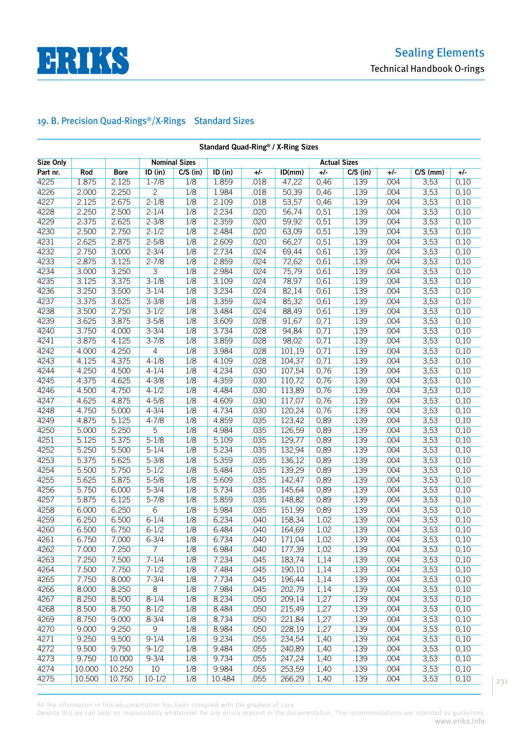

| Standard Quad-Ring® / X-Ring Sizes |        |             |                |                      |           |       |        |                     |            |       |            |       |
|------------------------------------|--------|-------------|----------------|----------------------|-----------|-------|--------|---------------------|------------|-------|------------|-------|
| <b>Size Only</b>                   |        |             |                | <b>Nominal Sizes</b> |           |       |        | <b>Actual Sizes</b> |            |       |            |       |
| Part nr.                           | Rod    | <b>Bore</b> | $ID$ (in)      | $C/S$ (in)           | $ID$ (in) | $+/-$ | ID(mm) | +/-                 | $C/S$ (in) | $+/-$ | $C/S$ (mm) | $+/-$ |
| 4225                               | 1.875  | 2.125       | $1 - 7/8$      | 1/8                  | 1.859     | .018  | 47,22  | 0,46                | .139       | .004  | 3,53       | 0,10  |
| 4226                               | 2.000  | 2.250       | $\overline{2}$ | 1/8                  | 1.984     | .018  | 50,39  | 0,46                | .139       | .004  | 3,53       | 0,10  |
| 4227                               | 2.125  | 2.675       | $2 - 1/8$      | 1/8                  | 2.109     | .018  | 53,57  | 0,46                | .139       | .004  | 3,53       | 0,10  |
| 4228                               | 2.250  | 2.500       | $2 - 1/4$      | 1/8                  | 2.234     | .020  | 56,74  | 0,51                | .139       | .004  | 3,53       | 0,10  |
| 4229                               | 2.375  | 2.625       | $2 - 3/8$      | 1/8                  | 2.359     | .020  | 59,92  | 0,51                | .139       | .004  | 3,53       | 0,10  |
| 4230                               | 2.500  | 2.750       | $2 - 1/2$      | 1/8                  | 2.484     | .020  | 63,09  | 0,51                | .139       | .004  | 3,53       | 0,10  |
| 4231                               | 2.625  | 2.875       | $2 - 5/8$      | 1/8                  | 2.609     | .020  | 66,27  | 0,51                | .139       | .004  | 3,53       | 0,10  |
| 4232                               | 2.750  | 3.000       | $2 - 3/4$      | 1/8                  | 2.734     | .024  | 69,44  | 0,61                | .139       | .004  | 3,53       | 0,10  |
| 4233                               | 2.875  | 3.125       | $2 - 7/8$      | 1/8                  | 2.859     | .024  | 72,62  | 0,61                | .139       | .004  | 3,53       | 0,10  |
| 4234                               | 3.000  | 3.250       | $\overline{3}$ | 1/8                  | 2.984     | .024  | 75,79  | 0,61                | .139       | .004  | 3,53       | 0,10  |
| 4235                               | 3.125  | 3.375       | $3 - 1/8$      | 1/8                  | 3.109     | .024  | 78,97  | 0,61                | .139       | .004  | 3,53       | 0,10  |
| 4236                               | 3.250  | 3.500       | $3 - 1/4$      | 1/8                  | 3.234     | .024  | 82,14  | 0,61                | .139       | .004  | 3,53       | 0,10  |
| 4237                               | 3.375  | 3.625       | $3 - 3/8$      | 1/8                  | 3.359     | .024  | 85,32  | 0,61                | .139       | .004  | 3,53       | 0,10  |
| 4238                               | 3.500  | 2.750       | $3 - 1/2$      | 1/8                  | 3.484     | .024  | 88,49  | 0,61                | .139       | .004  | 3,53       | 0,10  |
| 4239                               | 3.625  | 3.875       | $3 - 5/8$      | 1/8                  | 3.609     | .028  | 91,67  | 0,71                | .139       | .004  | 3,53       | 0,10  |
| 4240                               | 3.750  | 4.000       | $3 - 3/4$      | 1/8                  | 3.734     | .028  | 94,84  | 0,71                | .139       | .004  | 3,53       | 0,10  |
| 4241                               | 3.875  | 4.125       | $3 - 7/8$      | 1/8                  | 3.859     | .028  | 98,02  | 0,71                | .139       | .004  | 3,53       | 0,10  |
| 4242                               | 4.000  | 4.250       | $\overline{4}$ | 1/8                  | 3.984     | .028  | 101,19 | 0,71                | .139       | .004  | 3,53       | 0,10  |
| 4243                               | 4.125  | 4.375       | $4 - 1/8$      | 1/8                  | 4.109     | .028  | 104,37 | 0,71                | .139       | .004  | 3,53       | 0,10  |
| 4244                               | 4.250  | 4.500       | $4 - 1/4$      | 1/8                  | 4.234     | .030  | 107,54 | 0,76                | .139       | .004  | 3,53       | 0,10  |
| 4245                               | 4.375  | 4.625       | $4 - 3/8$      | 1/8                  | 4.359     | .030  | 110,72 | 0,76                | .139       | .004  | 3,53       | 0,10  |
| 4246                               | 4.500  | 4.750       | $4 - 1/2$      | 1/8                  | 4.484     | .030  | 113,89 | 0,76                | .139       | .004  | 3,53       | 0,10  |
| 4247                               | 4.625  | 4.875       | $4 - 5/8$      | 1/8                  | 4.609     | .030  | 117,07 | 0,76                | .139       | .004  | 3,53       | 0,10  |
| 4248                               | 4.750  | 5.000       | $4 - 3/4$      | 1/8                  | 4.734     | .030  | 120,24 | 0,76                | .139       | .004  | 3,53       | 0,10  |
| 4249                               | 4.875  | 5.125       | $4 - 7/8$      | 1/8                  | 4.859     | .035  | 123,42 | 0,89                | .139       | .004  | 3,53       | 0,10  |
| 4250                               | 5.000  | 5.250       | 5              | 1/8                  | 4.984     | .035  | 126,59 | 0,89                | .139       | .004  | 3,53       | 0,10  |
| 4251                               | 5.125  | 5.375       | $5 - 1/8$      | 1/8                  | 5.109     | .035  | 129,77 | 0,89                | .139       | .004  | 3,53       | 0,10  |
| 4252                               | 5.250  | 5.500       | $5 - 1/4$      | 1/8                  | 5.234     | .035  | 132,94 | 0,89                | .139       | .004  | 3,53       | 0,10  |
| 4253                               | 5.375  | 5.625       | $5 - 3/8$      | 1/8                  | 5.359     | .035  | 136,12 | 0,89                | .139       | .004  | 3,53       | 0,10  |
| 4254                               | 5.500  | 5.750       | $5 - 1/2$      | 1/8                  | 5.484     | .035  | 139,29 | 0,89                | .139       | .004  | 3,53       | 0,10  |
| 4255                               | 5.625  | 5.875       | $5 - 5/8$      | 1/8                  | 5.609     | .035  | 142,47 | 0,89                | .139       | .004  | 3,53       | 0,10  |
| 4256                               | 5.750  | 6.000       | $5 - 3/4$      | 1/8                  | 5.734     | .035  | 145,64 | 0,89                | .139       | .004  | 3,53       | 0,10  |
| 4257                               | 5.875  | 6.125       | $5 - 7/8$      | 1/8                  | 5.859     | .035  | 148,82 | 0,89                | .139       | .004  | 3,53       | 0,10  |
| 4258                               | 6.000  | 6.250       | $\overline{6}$ | 1/8                  | 5.984     | .035  | 151,99 | 0,89                | .139       | .004  | 3,53       | 0,10  |
| 4259                               | 6.250  | 6.500       | $6 - 1/4$      | 1/8                  | 6.234     | .040  | 158,34 | 1,02                | .139       | .004  | 3,53       | 0,10  |
| 4260                               | 6.500  | 6.750       | $6 - 1/2$      | 1/8                  | 6.484     | .040  | 164,69 | 1,02                | .139       | .004  | 3,53       | 0,10  |
| 4261                               | 6.750  | 7.000       | $6 - 3/4$      | 1/8                  | 6.734     | .040  | 171,04 | 1,02                | .139       | .004  | 3,53       | 0,10  |
| 4262                               | 7.000  | 7.250       | $\overline{7}$ | 1/8                  | 6.984     | .040  | 177,39 | 1,02                | .139       | .004  | 3,53       | 0,10  |
| 4263                               | 7.250  | 7.500       | $7 - 1/4$      | 1/8                  | 7.234     | .045  | 183,74 | 1,14                | .139       | .004  | 3,53       | 0,10  |
| 4264                               | 7.500  | 7.750       | $7 - 1/2$      | 1/8                  | 7.484     | .045  | 190,10 | 1,14                | .139       | .004  | 3,53       | 0,10  |
| 4265                               | 7.750  | 8.000       | $7 - 3/4$      | 1/8                  | 7.734     | .045  | 196,44 | 1,14                | .139       | .004  | 3,53       | 0,10  |
| 4266                               | 8.000  | 8.250       | $\overline{8}$ | 1/8                  | 7.984     | .045  | 202,79 | 1,14                | .139       | .004  | 3,53       | 0,10  |
| 4267                               | 8.250  | 8.500       | $8 - 1/4$      | 1/8                  | 8.234     | .050  | 209,14 | 1,27                | .139       | .004  | 3,53       | 0,10  |
| 4268                               | 8.500  | 8.750       | $8 - 1/2$      | 1/8                  | 8.484     | .050  | 215,49 | 1,27                | .139       | .004  | 3,53       | 0,10  |
| 4269                               | 8.750  | 9.000       | $8 - 3/4$      | 1/8                  | 8.734     | .050  | 221,84 | 1,27                | .139       | .004  | 3,53       | 0,10  |
| 4270                               | 9.000  | 9.250       | $\overline{9}$ | 1/8                  | 8.984     | .050  | 228,19 | 1,27                | .139       | .004  | 3,53       | 0,10  |
| 4271                               | 9.250  | 9.500       | $9 - 1/4$      | 1/8                  | 9.234     | .055  | 234,54 | 1,40                | .139       | .004  | 3,53       | 0,10  |
| 4272                               | 9.500  | 9.750       | $9 - 1/2$      | 1/8                  | 9.484     | .055  | 240,89 | 1,40                | .139       | .004  | 3,53       | 0,10  |
| 4273                               | 9.750  | 10.000      | $9 - 3/4$      | 1/8                  | 9.734     | .055  | 247,24 | 1,40                | .139       | .004  | 3,53       | 0,10  |
| 4274                               | 10.000 | 10.250      | 10             | 1/8                  | 9.984     | .055  | 253,59 | 1,40                | .139       | .004  | 3,53       | 0,10  |
| 4275                               | 10.500 | 10.750      | $10-1/2$       | 1/8                  | 10.484    | .055  | 266,29 | 1,40                | .139       | .004  | 3,53       | 0,10  |
|                                    |        |             |                |                      |           |       |        |                     |            |       |            |       |

All the information in this documentation has been compiled with the greatest of care.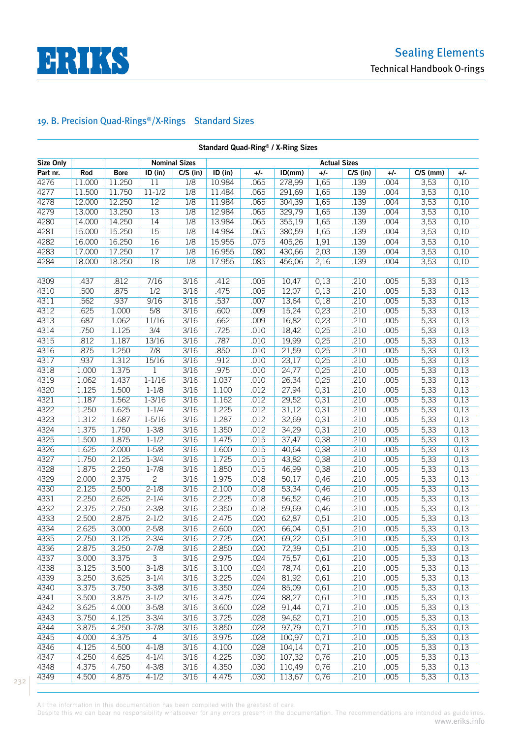

| Standard Quad-Ring® / X-Ring Sizes |        |             |                  |                      |         |      |        |       |            |       |            |       |  |
|------------------------------------|--------|-------------|------------------|----------------------|---------|------|--------|-------|------------|-------|------------|-------|--|
| <b>Size Only</b>                   |        |             |                  | <b>Nominal Sizes</b> |         |      |        |       |            |       |            |       |  |
| Part nr.                           | Rod    | <b>Bore</b> | ID (in)          | $C/S$ (in)           | ID (in) | +/-  | ID(mm) | $+/-$ | $C/S$ (in) | $+/-$ | $C/S$ (mm) | $+/-$ |  |
| 4276                               | 11.000 | 11.250      | 11               | 1/8                  | 10.984  | .065 | 278,99 | 1,65  | .139       | .004  | 3,53       | 0,10  |  |
| 4277                               | 11.500 | 11.750      | $11 - 1/2$       | 1/8                  | 11.484  | .065 | 291,69 | 1,65  | .139       | .004  | 3,53       | 0,10  |  |
| 4278                               | 12.000 | 12.250      | 12               | 1/8                  | 11.984  | .065 | 304,39 | 1,65  | .139       | .004  | 3,53       | 0,10  |  |
| 4279                               | 13.000 | 13.250      | 13               | 1/8                  | 12.984  | .065 | 329,79 | 1,65  | .139       | .004  | 3,53       | 0,10  |  |
| 4280                               | 14.000 | 14.250      | 14               | 1/8                  | 13.984  | .065 | 355,19 | 1,65  | .139       | .004  | 3,53       | 0,10  |  |
| 4281                               | 15.000 | 15.250      | 15               | 1/8                  | 14.984  | .065 | 380,59 | 1,65  | .139       | .004  | 3,53       | 0,10  |  |
| 4282                               | 16.000 | 16.250      | 16               | 1/8                  | 15.955  | .075 | 405,26 | 1,91  | .139       | .004  | 3,53       | 0,10  |  |
| 4283                               | 17.000 | 17.250      | $\overline{17}$  | 1/8                  | 16.955  | .080 | 430,66 | 2,03  | .139       | .004  | 3,53       | 0,10  |  |
| 4284                               | 18.000 | 18.250      | 18               | 1/8                  | 17.955  | .085 | 456,06 | 2,16  | .139       | .004  | 3,53       | 0,10  |  |
|                                    |        |             |                  |                      |         |      |        |       |            |       |            |       |  |
| 4309                               | .437   | .812        | 7/16             | 3/16                 | .412    | .005 | 10,47  | 0,13  | .210       | .005  | 5,33       | 0,13  |  |
| 4310                               | .500   | .875        | 1/2              | 3/16                 | .475    | .005 | 12,07  | 0,13  | .210       | .005  | 5,33       | 0,13  |  |
| 4311                               | .562   | .937        | 9/16             | 3/16                 | .537    | .007 | 13,64  | 0,18  | .210       | .005  | 5,33       | 0,13  |  |
| 4312                               | .625   | 1.000       | $\overline{5/8}$ | 3/16                 | .600    | .009 | 15,24  | 0,23  | .210       | .005  | 5,33       | 0,13  |  |
| 4313                               | .687   | 1.062       | 11/16            | 3/16                 | .662    | .009 | 16,82  | 0,23  | .210       | .005  | 5,33       | 0,13  |  |
| 4314                               | .750   | 1.125       | $\overline{3/4}$ | 3/16                 | .725    | .010 | 18,42  | 0,25  | .210       | .005  | 5,33       | 0,13  |  |
| 4315                               | .812   | 1.187       | 13/16            | 3/16                 | .787    | .010 | 19,99  | 0,25  | .210       | .005  | 5,33       | 0,13  |  |
| 4316                               | .875   | 1.250       | 7/8              | 3/16                 | .850    | .010 | 21,59  | 0,25  | .210       | .005  | 5,33       | 0,13  |  |
| 4317                               | .937   | 1.312       | 15/16            | 3/16                 | .912    | .010 | 23,17  | 0,25  | .210       | .005  | 5,33       | 0,13  |  |
| 4318                               | 1.000  | 1.375       | $\mathbf 1$      | 3/16                 | .975    | .010 | 24,77  | 0,25  | .210       | .005  | 5,33       | 0,13  |  |
| 4319                               | 1.062  | 1.437       | $1 - 1/16$       | 3/16                 | 1.037   | .010 | 26,34  | 0,25  | .210       | .005  | 5,33       | 0,13  |  |
| 4320                               | 1.125  | 1.500       | $1 - 1/8$        | 3/16                 | 1.100   | .012 | 27,94  | 0,31  | .210       | .005  | 5,33       | 0,13  |  |
| 4321                               | 1.187  | 1.562       | $1 - 3/16$       | 3/16                 | 1.162   | .012 | 29,52  | 0,31  | .210       | .005  | 5,33       | 0,13  |  |
| 4322                               | 1.250  | 1.625       | $1 - 1/4$        | 3/16                 | 1.225   | .012 | 31,12  | 0,31  | .210       | .005  | 5,33       | 0,13  |  |
| 4323                               | 1.312  | 1.687       | $1 - 5/16$       | 3/16                 | 1.287   | .012 | 32,69  | 0,31  | .210       | .005  | 5,33       | 0,13  |  |
| 4324                               | 1.375  | 1.750       | $1 - 3/8$        | 3/16                 | 1.350   | .012 | 34,29  | 0,31  | .210       | .005  | 5,33       | 0,13  |  |
| 4325                               | 1.500  | 1.875       | $1 - 1/2$        | 3/16                 | 1.475   | .015 | 37,47  | 0,38  | .210       | .005  | 5,33       | 0,13  |  |
| 4326                               | 1.625  | 2.000       | $1 - 5/8$        | 3/16                 | 1.600   | .015 | 40,64  | 0,38  | .210       | .005  | 5,33       | 0,13  |  |
| 4327                               | 1.750  | 2.125       | $1 - 3/4$        | 3/16                 | 1.725   | .015 | 43,82  | 0,38  | .210       | .005  | 5,33       | 0,13  |  |
| 4328                               | 1.875  | 2.250       | $1 - 7/8$        | 3/16                 | 1.850   | .015 | 46,99  | 0,38  | .210       | .005  | 5,33       | 0,13  |  |
| 4329                               | 2.000  | 2.375       | $\overline{2}$   | 3/16                 | 1.975   | .018 | 50,17  | 0,46  | .210       | .005  | 5,33       | 0,13  |  |
| 4330                               | 2.125  | 2.500       | $2 - 1/8$        | 3/16                 | 2.100   | .018 | 53,34  | 0,46  | .210       | .005  | 5,33       | 0,13  |  |
| 4331                               | 2.250  | 2.625       | $2 - 1/4$        | 3/16                 | 2.225   | .018 | 56,52  | 0,46  | .210       | .005  | 5,33       | 0,13  |  |
| 4332                               | 2.375  | 2.750       | $2 - 3/8$        | 3/16                 | 2.350   | .018 | 59,69  | 0,46  | .210       | .005  | 5,33       | 0,13  |  |
| 4333                               | 2.500  | 2.875       | $2 - 1/2$        | 3/16                 | 2.475   | .020 | 62,87  | 0,51  | .210       | .005  | 5,33       | 0,13  |  |
| 4334                               | 2.625  | 3.000       | $2 - 5/8$        | 3/16                 | 2.600   | .020 | 66,04  | 0,51  | .210       | .005  | 5,33       | 0,13  |  |
| 4335                               | 2.750  | 3.125       | $2 - 3/4$        | 3/16                 | 2.725   | .020 | 69,22  | 0,51  | .210       | .005  | 5,33       | 0,13  |  |
| 4336                               | 2.875  | 3.250       | $2 - 7/8$        | 3/16                 | 2.850   | .020 | 72,39  | 0,51  | .210       | .005  | 5,33       | 0,13  |  |
| 4337                               | 3.000  | 3.375       | $\overline{3}$   | 3/16                 | 2.975   | .024 | 75,57  | 0,61  | .210       | .005  | 5,33       | 0,13  |  |
| 4338                               | 3.125  | 3.500       | $3 - 1/8$        | 3/16                 | 3.100   | .024 | 78,74  | 0,61  | .210       | .005  | 5,33       | 0,13  |  |
| 4339                               | 3.250  | 3.625       | $3 - 1/4$        | 3/16                 | 3.225   | .024 | 81,92  | 0,61  | .210       | .005  | 5,33       | 0,13  |  |
| 4340                               | 3.375  | 3.750       | $3 - 3/8$        | 3/16                 | 3.350   | .024 | 85,09  | 0,61  | .210       | .005  | 5,33       | 0,13  |  |
| 4341                               | 3.500  | 3.875       | $3 - 1/2$        | 3/16                 | 3.475   | .024 | 88,27  | 0,61  | .210       | .005  | 5,33       | 0,13  |  |
| 4342                               | 3.625  | 4.000       | $3 - 5/8$        | 3/16                 | 3.600   | .028 | 91,44  | 0,71  | .210       | .005  | 5,33       | 0,13  |  |
| 4343                               | 3.750  | 4.125       | $3 - 3/4$        | 3/16                 | 3.725   | .028 | 94,62  | 0,71  | .210       | .005  | 5,33       | 0,13  |  |
| 4344                               | 3.875  | 4.250       | $3 - 7/8$        | 3/16                 | 3.850   | .028 | 97,79  | 0,71  | .210       | .005  | 5,33       | 0,13  |  |
| 4345                               | 4.000  | 4.375       | $\overline{4}$   | 3/16                 | 3.975   | .028 | 100,97 | 0,71  | .210       | .005  | 5,33       | 0,13  |  |
| 4346                               | 4.125  | 4.500       | $4 - 1/8$        | 3/16                 | 4.100   | .028 | 104,14 | 0,71  | .210       | .005  | 5,33       | 0,13  |  |
| 4347                               | 4.250  | 4.625       | $4 - 1/4$        | 3/16                 | 4.225   | .030 | 107,32 | 0,76  | .210       | .005  | 5,33       | 0,13  |  |
| 4348                               | 4.375  | 4.750       | $4 - 3/8$        | 3/16                 | 4.350   | .030 | 110,49 | 0,76  | .210       | .005  | 5,33       | 0,13  |  |
| 4349                               | 4.500  | 4.875       | $4 - 1/2$        | 3/16                 | 4.475   | .030 | 113,67 | 0,76  | .210       | .005  | 5,33       | 0,13  |  |

All the information in this documentation has been compiled with the greatest of care.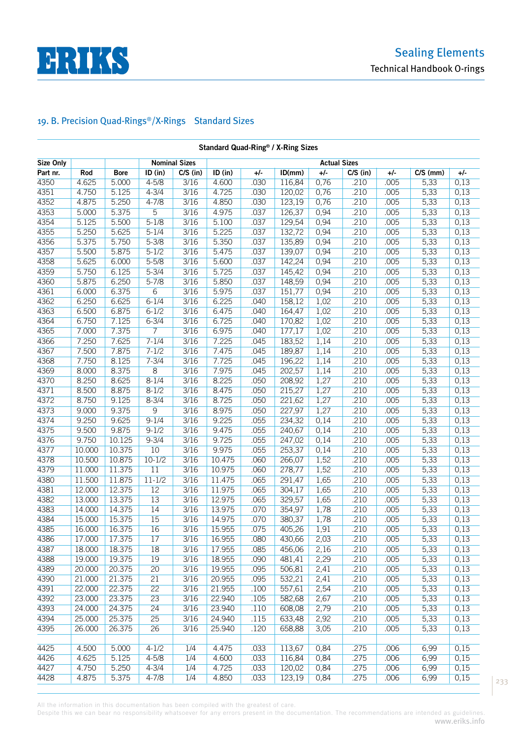

| <b>Size Only</b><br><b>Nominal Sizes</b><br><b>Actual Sizes</b><br>$C/S$ (in)<br>ID (in)<br>$+/-$<br>$+/-$<br>$C/S$ (in)<br>$+/-$<br>Part nr.<br>Rod<br><b>Bore</b><br>ID (in)<br>ID(mm)<br>$C/S$ (mm)<br>$+/-$<br>$4 - 5/8$<br>.030<br>0,76<br>4350<br>4.625<br>3/16<br>4.600<br>.210<br>.005<br>5,33<br>0,13<br>5.000<br>116,84<br>5,33<br>4351<br>4.750<br>5.125<br>$4 - 3/4$<br>3/16<br>4.725<br>.030<br>120,02<br>.210<br>.005<br>0,13<br>0,76<br>4352<br>4.875<br>5.250<br>$4 - 7/8$<br>3/16<br>4.850<br>.030<br>0,76<br>.210<br>.005<br>5,33<br>0,13<br>123,19<br>4353<br>5.375<br>5<br>3/16<br>4.975<br>.037<br>0,94<br>.210<br>.005<br>5,33<br>0,13<br>5.000<br>126,37<br>.037<br>4354<br>5.500<br>$5 - 1/8$<br>3/16<br>5.100<br>0,94<br>.210<br>.005<br>5,33<br>0,13<br>5.125<br>129,54<br>$5 - 1/4$<br>5.225<br>.037<br>4355<br>5.250<br>5.625<br>3/16<br>0,94<br>.210<br>.005<br>5,33<br>132,72<br>0,13<br>.037<br>4356<br>5.375<br>$5 - 3/8$<br>3/16<br>5.350<br>135,89<br>.210<br>.005<br>5,33<br>5.750<br>0,94<br>0,13<br>.037<br>4357<br>5.500<br>5.875<br>$5 - 1/2$<br>3/16<br>5.475<br>139,07<br>.210<br>.005<br>5,33<br>0,94<br>0,13<br>.037<br>4358<br>5.625<br>6.000<br>$5 - 5/8$<br>3/16<br>5.600<br>142,24<br>0,94<br>.210<br>.005<br>5,33<br>0,13<br>.037<br>4359<br>5.750<br>6.125<br>$5 - 3/4$<br>3/16<br>5.725<br>145,42<br>0,94<br>.210<br>.005<br>5,33<br>0,13<br>5.850<br>.037<br>4360<br>5.875<br>6.250<br>$5 - 7/8$<br>3/16<br>148,59<br>0,94<br>.210<br>.005<br>5,33<br>0,13<br>$\overline{6}$<br>4361<br>6.000<br>6.375<br>3/16<br>5.975<br>.037<br>.210<br>.005<br>5,33<br>0,13<br>151,77<br>0,94<br>4362<br>6.250<br>6.625<br>$6 - 1/4$<br>3/16<br>6.225<br>.040<br>.210<br>.005<br>5,33<br>0,13<br>158,12<br>1,02<br>4363<br>$6 - 1/2$<br>3/16<br>6.475<br>.040<br>.210<br>.005<br>5,33<br>0,13<br>6.500<br>6.875<br>164,47<br>1,02<br>4364<br>6.750<br>7.125<br>$6 - 3/4$<br>3/16<br>6.725<br>.040<br>.210<br>.005<br>5,33<br>170,82<br>1,02<br>0,13<br>$\overline{7}$<br>4365<br>7.375<br>3/16<br>6.975<br>.040<br>1,02<br>.210<br>.005<br>5,33<br>7.000<br>177,17<br>0,13<br>4366<br>7.250<br>7.625<br>$7 - 1/4$<br>3/16<br>7.225<br>.045<br>183,52<br>.210<br>.005<br>5,33<br>1,14<br>0,13<br>4367<br>7.500<br>7.875<br>$7 - 1/2$<br>3/16<br>7.475<br>.045<br>189,87<br>1,14<br>.210<br>.005<br>5,33<br>0,13<br>$7 - 3/4$<br>7.725<br>4368<br>7.750<br>8.125<br>3/16<br>.045<br>196,22<br>.210<br>.005<br>5,33<br>0,13<br>1,14<br>$\overline{8}$<br>.045<br>.210<br>4369<br>8.000<br>8.375<br>3/16<br>7.975<br>202,57<br>1,14<br>.005<br>5,33<br>0,13<br>4370<br>8.250<br>8.625<br>$8 - 1/4$<br>3/16<br>8.225<br>.050<br>208,92<br>1,27<br>.210<br>.005<br>5,33<br>0,13<br>4371<br>8.875<br>$8 - 1/2$<br>3/16<br>8.475<br>.050<br>1,27<br>.210<br>.005<br>5,33<br>0,13<br>8.500<br>215,27<br>.050<br>4372<br>8.750<br>9.125<br>$8 - 3/4$<br>3/16<br>8.725<br>1,27<br>.210<br>.005<br>5,33<br>0,13<br>221,62<br>4373<br>9.000<br>9.375<br>9<br>3/16<br>8.975<br>.050<br>1,27<br>.210<br>.005<br>5,33<br>227,97<br>0,13<br>4374<br>9.225<br>9.250<br>9.625<br>$9 - 1/4$<br>3/16<br>.055<br>0,14<br>.210<br>.005<br>5,33<br>234,32<br>0,13<br>4375<br>9.500<br>9.875<br>$9 - 1/2$<br>3/16<br>9.475<br>.055<br>240,67<br>0,14<br>.210<br>.005<br>5,33<br>0,13<br>4376<br>9.750<br>10.125<br>$9 - 3/4$<br>3/16<br>9.725<br>.055<br>247,02<br>.210<br>.005<br>5,33<br>0,13<br>0,14<br>9.975<br>4377<br>10.000<br>10.375<br>10<br>3/16<br>.055<br>253,37<br>.210<br>.005<br>5,33<br>0,13<br>0,14<br>3/16<br>.210<br>4378<br>10.500<br>10.875<br>$10 - 1/2$<br>10.475<br>.060<br>266,07<br>1,52<br>.005<br>5,33<br>0,13<br>4379<br>11.000<br>11.375<br>11<br>3/16<br>10.975<br>.060<br>1,52<br>.210<br>.005<br>5,33<br>0,13<br>278,77<br>4380<br>11.500<br>11.875<br>$11 - 1/2$<br>3/16<br>11.475<br>.065<br>291,47<br>.210<br>.005<br>5,33<br>0,13<br>1,65<br>4381<br>12.375<br>12<br>3/16<br>11.975<br>.065<br>1,65<br>.210<br>.005<br>5,33<br>12.000<br>304,17<br>0,13<br>4382<br>13.000<br>13.375<br>13<br>3/16<br>12.975<br>.065<br>329,57<br>.210<br>.005<br>5,33<br>1,65<br>0,13<br>4383<br>14.375<br>14<br>3/16<br>13.975<br>.070<br>.210<br>5,33<br>14.000<br>354,97<br>1,78<br>.005<br>0,13<br>4384<br>15.000<br>15.375<br>15<br>3/16<br>14.975<br>.070<br>380,37<br>1,78<br>.210<br>.005<br>5,33<br>0,13<br>4385<br>16.375<br>16<br>3/16<br>15.955<br>.075<br>.005<br>5,33<br>0,13<br>16.000<br>405,26<br>1,91<br>.210<br>4386<br>17.000<br>17.375<br>3/16<br>16.955<br>430,66<br>2,03<br>.210<br>5,33<br>0,13<br>17<br>.080<br>.005<br>4387<br>18.000<br>18.375<br>18<br>3/16<br>.085<br>456,06<br>2,16<br>.005<br>5,33<br>0,13<br>17.955<br>.210<br>4388<br>19.375<br>19.000<br>19<br>3/16<br>18.955<br>.090<br>481,41<br>2,29<br>.210<br>.005<br>5,33<br>0,13<br>4389<br>.095<br>20.000<br>20.375<br>20<br>3/16<br>19.955<br>506,81<br>2,41<br>.210<br>.005<br>5,33<br>0,13<br>4390<br>21.375<br>20.955<br>.095<br>5,33<br>21.000<br>21<br>3/16<br>532,21<br>2,41<br>.210<br>.005<br>0,13<br>4391<br>22.000<br>22.375<br>22<br>3/16<br>21.955<br>.100<br>.210<br>5,33<br>557,61<br>2,54<br>.005<br>0,13<br>4392<br>23.375<br>23<br>3/16<br>.105<br>582,68<br>23.000<br>22.940<br>2,67<br>.210<br>.005<br>5,33<br>0,13<br>4393<br>24.000<br>24.375<br>24<br>.110<br>2,79<br>.005<br>5,33<br>0,13<br>3/16<br>23.940<br>608,08<br>.210<br>4394<br>25.000<br>25.375<br>25<br>633,48<br>2,92<br>.005<br>5,33<br>0,13<br>3/16<br>24.940<br>.115<br>.210<br>4395<br>26.000<br>26.375<br>26<br>3/16<br>.120<br>658,88<br>.210<br>0,13<br>25.940<br>3,05<br>.005<br>5,33<br>4425<br>0,15<br>4.500<br>5.000<br>$4 - 1/2$<br>1/4<br>4.475<br>.033<br>113,67<br>0,84<br>.275<br>.006<br>6,99<br>.033<br>4426<br>4.625<br>5.125<br>$4 - 5/8$<br>4.600<br>.275<br>.006<br>0,15<br>1/4<br>116,84<br>0,84<br>6,99<br>4427<br>4.750<br>5.250<br>$4 - 3/4$<br>4.725<br>.033<br>.275<br>.006<br>1/4<br>120,02<br>0,84<br>6,99<br>0,15<br>4428<br>4.875<br>5.375<br>$4 - 7/8$<br>4.850<br>.033<br>.275<br>1/4<br>123,19<br>0,84<br>.006<br>6,99<br>0,15 | Standard Quad-Ring® / X-Ring Sizes |  |  |  |  |  |  |  |  |  |  |  |  |  |
|------------------------------------------------------------------------------------------------------------------------------------------------------------------------------------------------------------------------------------------------------------------------------------------------------------------------------------------------------------------------------------------------------------------------------------------------------------------------------------------------------------------------------------------------------------------------------------------------------------------------------------------------------------------------------------------------------------------------------------------------------------------------------------------------------------------------------------------------------------------------------------------------------------------------------------------------------------------------------------------------------------------------------------------------------------------------------------------------------------------------------------------------------------------------------------------------------------------------------------------------------------------------------------------------------------------------------------------------------------------------------------------------------------------------------------------------------------------------------------------------------------------------------------------------------------------------------------------------------------------------------------------------------------------------------------------------------------------------------------------------------------------------------------------------------------------------------------------------------------------------------------------------------------------------------------------------------------------------------------------------------------------------------------------------------------------------------------------------------------------------------------------------------------------------------------------------------------------------------------------------------------------------------------------------------------------------------------------------------------------------------------------------------------------------------------------------------------------------------------------------------------------------------------------------------------------------------------------------------------------------------------------------------------------------------------------------------------------------------------------------------------------------------------------------------------------------------------------------------------------------------------------------------------------------------------------------------------------------------------------------------------------------------------------------------------------------------------------------------------------------------------------------------------------------------------------------------------------------------------------------------------------------------------------------------------------------------------------------------------------------------------------------------------------------------------------------------------------------------------------------------------------------------------------------------------------------------------------------------------------------------------------------------------------------------------------------------------------------------------------------------------------------------------------------------------------------------------------------------------------------------------------------------------------------------------------------------------------------------------------------------------------------------------------------------------------------------------------------------------------------------------------------------------------------------------------------------------------------------------------------------------------------------------------------------------------------------------------------------------------------------------------------------------------------------------------------------------------------------------------------------------------------------------------------------------------------------------------------------------------------------------------------------------------------------------------------------------------------------------------------------------------------------------------------------------------------------------------------------------------------------------------------------------------------------------------------------------------------------------------------------------------------------------------------------------------------------------------------------------------------------------------------------------------------------------------------------------------------------------------------------------------------------------------------------------------------------------------------------------------------------------------------------------------------------------------------------------------------------------------------------------------------------------------------------------------------------------------------------------------------------------------------------------------------------------------------------------------------------------------------------------------------------------------------------------------------------------------------------------------------------------------------------------------------------------------------------------------------------------------------------------------------------------------------------------------------------------|------------------------------------|--|--|--|--|--|--|--|--|--|--|--|--|--|
|                                                                                                                                                                                                                                                                                                                                                                                                                                                                                                                                                                                                                                                                                                                                                                                                                                                                                                                                                                                                                                                                                                                                                                                                                                                                                                                                                                                                                                                                                                                                                                                                                                                                                                                                                                                                                                                                                                                                                                                                                                                                                                                                                                                                                                                                                                                                                                                                                                                                                                                                                                                                                                                                                                                                                                                                                                                                                                                                                                                                                                                                                                                                                                                                                                                                                                                                                                                                                                                                                                                                                                                                                                                                                                                                                                                                                                                                                                                                                                                                                                                                                                                                                                                                                                                                                                                                                                                                                                                                                                                                                                                                                                                                                                                                                                                                                                                                                                                                                                                                                                                                                                                                                                                                                                                                                                                                                                                                                                                                                                                                                                                                                                                                                                                                                                                                                                                                                                                                                                                                                                                                                    |                                    |  |  |  |  |  |  |  |  |  |  |  |  |  |
|                                                                                                                                                                                                                                                                                                                                                                                                                                                                                                                                                                                                                                                                                                                                                                                                                                                                                                                                                                                                                                                                                                                                                                                                                                                                                                                                                                                                                                                                                                                                                                                                                                                                                                                                                                                                                                                                                                                                                                                                                                                                                                                                                                                                                                                                                                                                                                                                                                                                                                                                                                                                                                                                                                                                                                                                                                                                                                                                                                                                                                                                                                                                                                                                                                                                                                                                                                                                                                                                                                                                                                                                                                                                                                                                                                                                                                                                                                                                                                                                                                                                                                                                                                                                                                                                                                                                                                                                                                                                                                                                                                                                                                                                                                                                                                                                                                                                                                                                                                                                                                                                                                                                                                                                                                                                                                                                                                                                                                                                                                                                                                                                                                                                                                                                                                                                                                                                                                                                                                                                                                                                                    |                                    |  |  |  |  |  |  |  |  |  |  |  |  |  |
|                                                                                                                                                                                                                                                                                                                                                                                                                                                                                                                                                                                                                                                                                                                                                                                                                                                                                                                                                                                                                                                                                                                                                                                                                                                                                                                                                                                                                                                                                                                                                                                                                                                                                                                                                                                                                                                                                                                                                                                                                                                                                                                                                                                                                                                                                                                                                                                                                                                                                                                                                                                                                                                                                                                                                                                                                                                                                                                                                                                                                                                                                                                                                                                                                                                                                                                                                                                                                                                                                                                                                                                                                                                                                                                                                                                                                                                                                                                                                                                                                                                                                                                                                                                                                                                                                                                                                                                                                                                                                                                                                                                                                                                                                                                                                                                                                                                                                                                                                                                                                                                                                                                                                                                                                                                                                                                                                                                                                                                                                                                                                                                                                                                                                                                                                                                                                                                                                                                                                                                                                                                                                    |                                    |  |  |  |  |  |  |  |  |  |  |  |  |  |
|                                                                                                                                                                                                                                                                                                                                                                                                                                                                                                                                                                                                                                                                                                                                                                                                                                                                                                                                                                                                                                                                                                                                                                                                                                                                                                                                                                                                                                                                                                                                                                                                                                                                                                                                                                                                                                                                                                                                                                                                                                                                                                                                                                                                                                                                                                                                                                                                                                                                                                                                                                                                                                                                                                                                                                                                                                                                                                                                                                                                                                                                                                                                                                                                                                                                                                                                                                                                                                                                                                                                                                                                                                                                                                                                                                                                                                                                                                                                                                                                                                                                                                                                                                                                                                                                                                                                                                                                                                                                                                                                                                                                                                                                                                                                                                                                                                                                                                                                                                                                                                                                                                                                                                                                                                                                                                                                                                                                                                                                                                                                                                                                                                                                                                                                                                                                                                                                                                                                                                                                                                                                                    |                                    |  |  |  |  |  |  |  |  |  |  |  |  |  |
|                                                                                                                                                                                                                                                                                                                                                                                                                                                                                                                                                                                                                                                                                                                                                                                                                                                                                                                                                                                                                                                                                                                                                                                                                                                                                                                                                                                                                                                                                                                                                                                                                                                                                                                                                                                                                                                                                                                                                                                                                                                                                                                                                                                                                                                                                                                                                                                                                                                                                                                                                                                                                                                                                                                                                                                                                                                                                                                                                                                                                                                                                                                                                                                                                                                                                                                                                                                                                                                                                                                                                                                                                                                                                                                                                                                                                                                                                                                                                                                                                                                                                                                                                                                                                                                                                                                                                                                                                                                                                                                                                                                                                                                                                                                                                                                                                                                                                                                                                                                                                                                                                                                                                                                                                                                                                                                                                                                                                                                                                                                                                                                                                                                                                                                                                                                                                                                                                                                                                                                                                                                                                    |                                    |  |  |  |  |  |  |  |  |  |  |  |  |  |
|                                                                                                                                                                                                                                                                                                                                                                                                                                                                                                                                                                                                                                                                                                                                                                                                                                                                                                                                                                                                                                                                                                                                                                                                                                                                                                                                                                                                                                                                                                                                                                                                                                                                                                                                                                                                                                                                                                                                                                                                                                                                                                                                                                                                                                                                                                                                                                                                                                                                                                                                                                                                                                                                                                                                                                                                                                                                                                                                                                                                                                                                                                                                                                                                                                                                                                                                                                                                                                                                                                                                                                                                                                                                                                                                                                                                                                                                                                                                                                                                                                                                                                                                                                                                                                                                                                                                                                                                                                                                                                                                                                                                                                                                                                                                                                                                                                                                                                                                                                                                                                                                                                                                                                                                                                                                                                                                                                                                                                                                                                                                                                                                                                                                                                                                                                                                                                                                                                                                                                                                                                                                                    |                                    |  |  |  |  |  |  |  |  |  |  |  |  |  |
|                                                                                                                                                                                                                                                                                                                                                                                                                                                                                                                                                                                                                                                                                                                                                                                                                                                                                                                                                                                                                                                                                                                                                                                                                                                                                                                                                                                                                                                                                                                                                                                                                                                                                                                                                                                                                                                                                                                                                                                                                                                                                                                                                                                                                                                                                                                                                                                                                                                                                                                                                                                                                                                                                                                                                                                                                                                                                                                                                                                                                                                                                                                                                                                                                                                                                                                                                                                                                                                                                                                                                                                                                                                                                                                                                                                                                                                                                                                                                                                                                                                                                                                                                                                                                                                                                                                                                                                                                                                                                                                                                                                                                                                                                                                                                                                                                                                                                                                                                                                                                                                                                                                                                                                                                                                                                                                                                                                                                                                                                                                                                                                                                                                                                                                                                                                                                                                                                                                                                                                                                                                                                    |                                    |  |  |  |  |  |  |  |  |  |  |  |  |  |
|                                                                                                                                                                                                                                                                                                                                                                                                                                                                                                                                                                                                                                                                                                                                                                                                                                                                                                                                                                                                                                                                                                                                                                                                                                                                                                                                                                                                                                                                                                                                                                                                                                                                                                                                                                                                                                                                                                                                                                                                                                                                                                                                                                                                                                                                                                                                                                                                                                                                                                                                                                                                                                                                                                                                                                                                                                                                                                                                                                                                                                                                                                                                                                                                                                                                                                                                                                                                                                                                                                                                                                                                                                                                                                                                                                                                                                                                                                                                                                                                                                                                                                                                                                                                                                                                                                                                                                                                                                                                                                                                                                                                                                                                                                                                                                                                                                                                                                                                                                                                                                                                                                                                                                                                                                                                                                                                                                                                                                                                                                                                                                                                                                                                                                                                                                                                                                                                                                                                                                                                                                                                                    |                                    |  |  |  |  |  |  |  |  |  |  |  |  |  |
|                                                                                                                                                                                                                                                                                                                                                                                                                                                                                                                                                                                                                                                                                                                                                                                                                                                                                                                                                                                                                                                                                                                                                                                                                                                                                                                                                                                                                                                                                                                                                                                                                                                                                                                                                                                                                                                                                                                                                                                                                                                                                                                                                                                                                                                                                                                                                                                                                                                                                                                                                                                                                                                                                                                                                                                                                                                                                                                                                                                                                                                                                                                                                                                                                                                                                                                                                                                                                                                                                                                                                                                                                                                                                                                                                                                                                                                                                                                                                                                                                                                                                                                                                                                                                                                                                                                                                                                                                                                                                                                                                                                                                                                                                                                                                                                                                                                                                                                                                                                                                                                                                                                                                                                                                                                                                                                                                                                                                                                                                                                                                                                                                                                                                                                                                                                                                                                                                                                                                                                                                                                                                    |                                    |  |  |  |  |  |  |  |  |  |  |  |  |  |
|                                                                                                                                                                                                                                                                                                                                                                                                                                                                                                                                                                                                                                                                                                                                                                                                                                                                                                                                                                                                                                                                                                                                                                                                                                                                                                                                                                                                                                                                                                                                                                                                                                                                                                                                                                                                                                                                                                                                                                                                                                                                                                                                                                                                                                                                                                                                                                                                                                                                                                                                                                                                                                                                                                                                                                                                                                                                                                                                                                                                                                                                                                                                                                                                                                                                                                                                                                                                                                                                                                                                                                                                                                                                                                                                                                                                                                                                                                                                                                                                                                                                                                                                                                                                                                                                                                                                                                                                                                                                                                                                                                                                                                                                                                                                                                                                                                                                                                                                                                                                                                                                                                                                                                                                                                                                                                                                                                                                                                                                                                                                                                                                                                                                                                                                                                                                                                                                                                                                                                                                                                                                                    |                                    |  |  |  |  |  |  |  |  |  |  |  |  |  |
|                                                                                                                                                                                                                                                                                                                                                                                                                                                                                                                                                                                                                                                                                                                                                                                                                                                                                                                                                                                                                                                                                                                                                                                                                                                                                                                                                                                                                                                                                                                                                                                                                                                                                                                                                                                                                                                                                                                                                                                                                                                                                                                                                                                                                                                                                                                                                                                                                                                                                                                                                                                                                                                                                                                                                                                                                                                                                                                                                                                                                                                                                                                                                                                                                                                                                                                                                                                                                                                                                                                                                                                                                                                                                                                                                                                                                                                                                                                                                                                                                                                                                                                                                                                                                                                                                                                                                                                                                                                                                                                                                                                                                                                                                                                                                                                                                                                                                                                                                                                                                                                                                                                                                                                                                                                                                                                                                                                                                                                                                                                                                                                                                                                                                                                                                                                                                                                                                                                                                                                                                                                                                    |                                    |  |  |  |  |  |  |  |  |  |  |  |  |  |
|                                                                                                                                                                                                                                                                                                                                                                                                                                                                                                                                                                                                                                                                                                                                                                                                                                                                                                                                                                                                                                                                                                                                                                                                                                                                                                                                                                                                                                                                                                                                                                                                                                                                                                                                                                                                                                                                                                                                                                                                                                                                                                                                                                                                                                                                                                                                                                                                                                                                                                                                                                                                                                                                                                                                                                                                                                                                                                                                                                                                                                                                                                                                                                                                                                                                                                                                                                                                                                                                                                                                                                                                                                                                                                                                                                                                                                                                                                                                                                                                                                                                                                                                                                                                                                                                                                                                                                                                                                                                                                                                                                                                                                                                                                                                                                                                                                                                                                                                                                                                                                                                                                                                                                                                                                                                                                                                                                                                                                                                                                                                                                                                                                                                                                                                                                                                                                                                                                                                                                                                                                                                                    |                                    |  |  |  |  |  |  |  |  |  |  |  |  |  |
|                                                                                                                                                                                                                                                                                                                                                                                                                                                                                                                                                                                                                                                                                                                                                                                                                                                                                                                                                                                                                                                                                                                                                                                                                                                                                                                                                                                                                                                                                                                                                                                                                                                                                                                                                                                                                                                                                                                                                                                                                                                                                                                                                                                                                                                                                                                                                                                                                                                                                                                                                                                                                                                                                                                                                                                                                                                                                                                                                                                                                                                                                                                                                                                                                                                                                                                                                                                                                                                                                                                                                                                                                                                                                                                                                                                                                                                                                                                                                                                                                                                                                                                                                                                                                                                                                                                                                                                                                                                                                                                                                                                                                                                                                                                                                                                                                                                                                                                                                                                                                                                                                                                                                                                                                                                                                                                                                                                                                                                                                                                                                                                                                                                                                                                                                                                                                                                                                                                                                                                                                                                                                    |                                    |  |  |  |  |  |  |  |  |  |  |  |  |  |
|                                                                                                                                                                                                                                                                                                                                                                                                                                                                                                                                                                                                                                                                                                                                                                                                                                                                                                                                                                                                                                                                                                                                                                                                                                                                                                                                                                                                                                                                                                                                                                                                                                                                                                                                                                                                                                                                                                                                                                                                                                                                                                                                                                                                                                                                                                                                                                                                                                                                                                                                                                                                                                                                                                                                                                                                                                                                                                                                                                                                                                                                                                                                                                                                                                                                                                                                                                                                                                                                                                                                                                                                                                                                                                                                                                                                                                                                                                                                                                                                                                                                                                                                                                                                                                                                                                                                                                                                                                                                                                                                                                                                                                                                                                                                                                                                                                                                                                                                                                                                                                                                                                                                                                                                                                                                                                                                                                                                                                                                                                                                                                                                                                                                                                                                                                                                                                                                                                                                                                                                                                                                                    |                                    |  |  |  |  |  |  |  |  |  |  |  |  |  |
|                                                                                                                                                                                                                                                                                                                                                                                                                                                                                                                                                                                                                                                                                                                                                                                                                                                                                                                                                                                                                                                                                                                                                                                                                                                                                                                                                                                                                                                                                                                                                                                                                                                                                                                                                                                                                                                                                                                                                                                                                                                                                                                                                                                                                                                                                                                                                                                                                                                                                                                                                                                                                                                                                                                                                                                                                                                                                                                                                                                                                                                                                                                                                                                                                                                                                                                                                                                                                                                                                                                                                                                                                                                                                                                                                                                                                                                                                                                                                                                                                                                                                                                                                                                                                                                                                                                                                                                                                                                                                                                                                                                                                                                                                                                                                                                                                                                                                                                                                                                                                                                                                                                                                                                                                                                                                                                                                                                                                                                                                                                                                                                                                                                                                                                                                                                                                                                                                                                                                                                                                                                                                    |                                    |  |  |  |  |  |  |  |  |  |  |  |  |  |
|                                                                                                                                                                                                                                                                                                                                                                                                                                                                                                                                                                                                                                                                                                                                                                                                                                                                                                                                                                                                                                                                                                                                                                                                                                                                                                                                                                                                                                                                                                                                                                                                                                                                                                                                                                                                                                                                                                                                                                                                                                                                                                                                                                                                                                                                                                                                                                                                                                                                                                                                                                                                                                                                                                                                                                                                                                                                                                                                                                                                                                                                                                                                                                                                                                                                                                                                                                                                                                                                                                                                                                                                                                                                                                                                                                                                                                                                                                                                                                                                                                                                                                                                                                                                                                                                                                                                                                                                                                                                                                                                                                                                                                                                                                                                                                                                                                                                                                                                                                                                                                                                                                                                                                                                                                                                                                                                                                                                                                                                                                                                                                                                                                                                                                                                                                                                                                                                                                                                                                                                                                                                                    |                                    |  |  |  |  |  |  |  |  |  |  |  |  |  |
|                                                                                                                                                                                                                                                                                                                                                                                                                                                                                                                                                                                                                                                                                                                                                                                                                                                                                                                                                                                                                                                                                                                                                                                                                                                                                                                                                                                                                                                                                                                                                                                                                                                                                                                                                                                                                                                                                                                                                                                                                                                                                                                                                                                                                                                                                                                                                                                                                                                                                                                                                                                                                                                                                                                                                                                                                                                                                                                                                                                                                                                                                                                                                                                                                                                                                                                                                                                                                                                                                                                                                                                                                                                                                                                                                                                                                                                                                                                                                                                                                                                                                                                                                                                                                                                                                                                                                                                                                                                                                                                                                                                                                                                                                                                                                                                                                                                                                                                                                                                                                                                                                                                                                                                                                                                                                                                                                                                                                                                                                                                                                                                                                                                                                                                                                                                                                                                                                                                                                                                                                                                                                    |                                    |  |  |  |  |  |  |  |  |  |  |  |  |  |
|                                                                                                                                                                                                                                                                                                                                                                                                                                                                                                                                                                                                                                                                                                                                                                                                                                                                                                                                                                                                                                                                                                                                                                                                                                                                                                                                                                                                                                                                                                                                                                                                                                                                                                                                                                                                                                                                                                                                                                                                                                                                                                                                                                                                                                                                                                                                                                                                                                                                                                                                                                                                                                                                                                                                                                                                                                                                                                                                                                                                                                                                                                                                                                                                                                                                                                                                                                                                                                                                                                                                                                                                                                                                                                                                                                                                                                                                                                                                                                                                                                                                                                                                                                                                                                                                                                                                                                                                                                                                                                                                                                                                                                                                                                                                                                                                                                                                                                                                                                                                                                                                                                                                                                                                                                                                                                                                                                                                                                                                                                                                                                                                                                                                                                                                                                                                                                                                                                                                                                                                                                                                                    |                                    |  |  |  |  |  |  |  |  |  |  |  |  |  |
|                                                                                                                                                                                                                                                                                                                                                                                                                                                                                                                                                                                                                                                                                                                                                                                                                                                                                                                                                                                                                                                                                                                                                                                                                                                                                                                                                                                                                                                                                                                                                                                                                                                                                                                                                                                                                                                                                                                                                                                                                                                                                                                                                                                                                                                                                                                                                                                                                                                                                                                                                                                                                                                                                                                                                                                                                                                                                                                                                                                                                                                                                                                                                                                                                                                                                                                                                                                                                                                                                                                                                                                                                                                                                                                                                                                                                                                                                                                                                                                                                                                                                                                                                                                                                                                                                                                                                                                                                                                                                                                                                                                                                                                                                                                                                                                                                                                                                                                                                                                                                                                                                                                                                                                                                                                                                                                                                                                                                                                                                                                                                                                                                                                                                                                                                                                                                                                                                                                                                                                                                                                                                    |                                    |  |  |  |  |  |  |  |  |  |  |  |  |  |
|                                                                                                                                                                                                                                                                                                                                                                                                                                                                                                                                                                                                                                                                                                                                                                                                                                                                                                                                                                                                                                                                                                                                                                                                                                                                                                                                                                                                                                                                                                                                                                                                                                                                                                                                                                                                                                                                                                                                                                                                                                                                                                                                                                                                                                                                                                                                                                                                                                                                                                                                                                                                                                                                                                                                                                                                                                                                                                                                                                                                                                                                                                                                                                                                                                                                                                                                                                                                                                                                                                                                                                                                                                                                                                                                                                                                                                                                                                                                                                                                                                                                                                                                                                                                                                                                                                                                                                                                                                                                                                                                                                                                                                                                                                                                                                                                                                                                                                                                                                                                                                                                                                                                                                                                                                                                                                                                                                                                                                                                                                                                                                                                                                                                                                                                                                                                                                                                                                                                                                                                                                                                                    |                                    |  |  |  |  |  |  |  |  |  |  |  |  |  |
|                                                                                                                                                                                                                                                                                                                                                                                                                                                                                                                                                                                                                                                                                                                                                                                                                                                                                                                                                                                                                                                                                                                                                                                                                                                                                                                                                                                                                                                                                                                                                                                                                                                                                                                                                                                                                                                                                                                                                                                                                                                                                                                                                                                                                                                                                                                                                                                                                                                                                                                                                                                                                                                                                                                                                                                                                                                                                                                                                                                                                                                                                                                                                                                                                                                                                                                                                                                                                                                                                                                                                                                                                                                                                                                                                                                                                                                                                                                                                                                                                                                                                                                                                                                                                                                                                                                                                                                                                                                                                                                                                                                                                                                                                                                                                                                                                                                                                                                                                                                                                                                                                                                                                                                                                                                                                                                                                                                                                                                                                                                                                                                                                                                                                                                                                                                                                                                                                                                                                                                                                                                                                    |                                    |  |  |  |  |  |  |  |  |  |  |  |  |  |
|                                                                                                                                                                                                                                                                                                                                                                                                                                                                                                                                                                                                                                                                                                                                                                                                                                                                                                                                                                                                                                                                                                                                                                                                                                                                                                                                                                                                                                                                                                                                                                                                                                                                                                                                                                                                                                                                                                                                                                                                                                                                                                                                                                                                                                                                                                                                                                                                                                                                                                                                                                                                                                                                                                                                                                                                                                                                                                                                                                                                                                                                                                                                                                                                                                                                                                                                                                                                                                                                                                                                                                                                                                                                                                                                                                                                                                                                                                                                                                                                                                                                                                                                                                                                                                                                                                                                                                                                                                                                                                                                                                                                                                                                                                                                                                                                                                                                                                                                                                                                                                                                                                                                                                                                                                                                                                                                                                                                                                                                                                                                                                                                                                                                                                                                                                                                                                                                                                                                                                                                                                                                                    |                                    |  |  |  |  |  |  |  |  |  |  |  |  |  |
|                                                                                                                                                                                                                                                                                                                                                                                                                                                                                                                                                                                                                                                                                                                                                                                                                                                                                                                                                                                                                                                                                                                                                                                                                                                                                                                                                                                                                                                                                                                                                                                                                                                                                                                                                                                                                                                                                                                                                                                                                                                                                                                                                                                                                                                                                                                                                                                                                                                                                                                                                                                                                                                                                                                                                                                                                                                                                                                                                                                                                                                                                                                                                                                                                                                                                                                                                                                                                                                                                                                                                                                                                                                                                                                                                                                                                                                                                                                                                                                                                                                                                                                                                                                                                                                                                                                                                                                                                                                                                                                                                                                                                                                                                                                                                                                                                                                                                                                                                                                                                                                                                                                                                                                                                                                                                                                                                                                                                                                                                                                                                                                                                                                                                                                                                                                                                                                                                                                                                                                                                                                                                    |                                    |  |  |  |  |  |  |  |  |  |  |  |  |  |
|                                                                                                                                                                                                                                                                                                                                                                                                                                                                                                                                                                                                                                                                                                                                                                                                                                                                                                                                                                                                                                                                                                                                                                                                                                                                                                                                                                                                                                                                                                                                                                                                                                                                                                                                                                                                                                                                                                                                                                                                                                                                                                                                                                                                                                                                                                                                                                                                                                                                                                                                                                                                                                                                                                                                                                                                                                                                                                                                                                                                                                                                                                                                                                                                                                                                                                                                                                                                                                                                                                                                                                                                                                                                                                                                                                                                                                                                                                                                                                                                                                                                                                                                                                                                                                                                                                                                                                                                                                                                                                                                                                                                                                                                                                                                                                                                                                                                                                                                                                                                                                                                                                                                                                                                                                                                                                                                                                                                                                                                                                                                                                                                                                                                                                                                                                                                                                                                                                                                                                                                                                                                                    |                                    |  |  |  |  |  |  |  |  |  |  |  |  |  |
|                                                                                                                                                                                                                                                                                                                                                                                                                                                                                                                                                                                                                                                                                                                                                                                                                                                                                                                                                                                                                                                                                                                                                                                                                                                                                                                                                                                                                                                                                                                                                                                                                                                                                                                                                                                                                                                                                                                                                                                                                                                                                                                                                                                                                                                                                                                                                                                                                                                                                                                                                                                                                                                                                                                                                                                                                                                                                                                                                                                                                                                                                                                                                                                                                                                                                                                                                                                                                                                                                                                                                                                                                                                                                                                                                                                                                                                                                                                                                                                                                                                                                                                                                                                                                                                                                                                                                                                                                                                                                                                                                                                                                                                                                                                                                                                                                                                                                                                                                                                                                                                                                                                                                                                                                                                                                                                                                                                                                                                                                                                                                                                                                                                                                                                                                                                                                                                                                                                                                                                                                                                                                    |                                    |  |  |  |  |  |  |  |  |  |  |  |  |  |
|                                                                                                                                                                                                                                                                                                                                                                                                                                                                                                                                                                                                                                                                                                                                                                                                                                                                                                                                                                                                                                                                                                                                                                                                                                                                                                                                                                                                                                                                                                                                                                                                                                                                                                                                                                                                                                                                                                                                                                                                                                                                                                                                                                                                                                                                                                                                                                                                                                                                                                                                                                                                                                                                                                                                                                                                                                                                                                                                                                                                                                                                                                                                                                                                                                                                                                                                                                                                                                                                                                                                                                                                                                                                                                                                                                                                                                                                                                                                                                                                                                                                                                                                                                                                                                                                                                                                                                                                                                                                                                                                                                                                                                                                                                                                                                                                                                                                                                                                                                                                                                                                                                                                                                                                                                                                                                                                                                                                                                                                                                                                                                                                                                                                                                                                                                                                                                                                                                                                                                                                                                                                                    |                                    |  |  |  |  |  |  |  |  |  |  |  |  |  |
|                                                                                                                                                                                                                                                                                                                                                                                                                                                                                                                                                                                                                                                                                                                                                                                                                                                                                                                                                                                                                                                                                                                                                                                                                                                                                                                                                                                                                                                                                                                                                                                                                                                                                                                                                                                                                                                                                                                                                                                                                                                                                                                                                                                                                                                                                                                                                                                                                                                                                                                                                                                                                                                                                                                                                                                                                                                                                                                                                                                                                                                                                                                                                                                                                                                                                                                                                                                                                                                                                                                                                                                                                                                                                                                                                                                                                                                                                                                                                                                                                                                                                                                                                                                                                                                                                                                                                                                                                                                                                                                                                                                                                                                                                                                                                                                                                                                                                                                                                                                                                                                                                                                                                                                                                                                                                                                                                                                                                                                                                                                                                                                                                                                                                                                                                                                                                                                                                                                                                                                                                                                                                    |                                    |  |  |  |  |  |  |  |  |  |  |  |  |  |
|                                                                                                                                                                                                                                                                                                                                                                                                                                                                                                                                                                                                                                                                                                                                                                                                                                                                                                                                                                                                                                                                                                                                                                                                                                                                                                                                                                                                                                                                                                                                                                                                                                                                                                                                                                                                                                                                                                                                                                                                                                                                                                                                                                                                                                                                                                                                                                                                                                                                                                                                                                                                                                                                                                                                                                                                                                                                                                                                                                                                                                                                                                                                                                                                                                                                                                                                                                                                                                                                                                                                                                                                                                                                                                                                                                                                                                                                                                                                                                                                                                                                                                                                                                                                                                                                                                                                                                                                                                                                                                                                                                                                                                                                                                                                                                                                                                                                                                                                                                                                                                                                                                                                                                                                                                                                                                                                                                                                                                                                                                                                                                                                                                                                                                                                                                                                                                                                                                                                                                                                                                                                                    |                                    |  |  |  |  |  |  |  |  |  |  |  |  |  |
|                                                                                                                                                                                                                                                                                                                                                                                                                                                                                                                                                                                                                                                                                                                                                                                                                                                                                                                                                                                                                                                                                                                                                                                                                                                                                                                                                                                                                                                                                                                                                                                                                                                                                                                                                                                                                                                                                                                                                                                                                                                                                                                                                                                                                                                                                                                                                                                                                                                                                                                                                                                                                                                                                                                                                                                                                                                                                                                                                                                                                                                                                                                                                                                                                                                                                                                                                                                                                                                                                                                                                                                                                                                                                                                                                                                                                                                                                                                                                                                                                                                                                                                                                                                                                                                                                                                                                                                                                                                                                                                                                                                                                                                                                                                                                                                                                                                                                                                                                                                                                                                                                                                                                                                                                                                                                                                                                                                                                                                                                                                                                                                                                                                                                                                                                                                                                                                                                                                                                                                                                                                                                    |                                    |  |  |  |  |  |  |  |  |  |  |  |  |  |
|                                                                                                                                                                                                                                                                                                                                                                                                                                                                                                                                                                                                                                                                                                                                                                                                                                                                                                                                                                                                                                                                                                                                                                                                                                                                                                                                                                                                                                                                                                                                                                                                                                                                                                                                                                                                                                                                                                                                                                                                                                                                                                                                                                                                                                                                                                                                                                                                                                                                                                                                                                                                                                                                                                                                                                                                                                                                                                                                                                                                                                                                                                                                                                                                                                                                                                                                                                                                                                                                                                                                                                                                                                                                                                                                                                                                                                                                                                                                                                                                                                                                                                                                                                                                                                                                                                                                                                                                                                                                                                                                                                                                                                                                                                                                                                                                                                                                                                                                                                                                                                                                                                                                                                                                                                                                                                                                                                                                                                                                                                                                                                                                                                                                                                                                                                                                                                                                                                                                                                                                                                                                                    |                                    |  |  |  |  |  |  |  |  |  |  |  |  |  |
|                                                                                                                                                                                                                                                                                                                                                                                                                                                                                                                                                                                                                                                                                                                                                                                                                                                                                                                                                                                                                                                                                                                                                                                                                                                                                                                                                                                                                                                                                                                                                                                                                                                                                                                                                                                                                                                                                                                                                                                                                                                                                                                                                                                                                                                                                                                                                                                                                                                                                                                                                                                                                                                                                                                                                                                                                                                                                                                                                                                                                                                                                                                                                                                                                                                                                                                                                                                                                                                                                                                                                                                                                                                                                                                                                                                                                                                                                                                                                                                                                                                                                                                                                                                                                                                                                                                                                                                                                                                                                                                                                                                                                                                                                                                                                                                                                                                                                                                                                                                                                                                                                                                                                                                                                                                                                                                                                                                                                                                                                                                                                                                                                                                                                                                                                                                                                                                                                                                                                                                                                                                                                    |                                    |  |  |  |  |  |  |  |  |  |  |  |  |  |
|                                                                                                                                                                                                                                                                                                                                                                                                                                                                                                                                                                                                                                                                                                                                                                                                                                                                                                                                                                                                                                                                                                                                                                                                                                                                                                                                                                                                                                                                                                                                                                                                                                                                                                                                                                                                                                                                                                                                                                                                                                                                                                                                                                                                                                                                                                                                                                                                                                                                                                                                                                                                                                                                                                                                                                                                                                                                                                                                                                                                                                                                                                                                                                                                                                                                                                                                                                                                                                                                                                                                                                                                                                                                                                                                                                                                                                                                                                                                                                                                                                                                                                                                                                                                                                                                                                                                                                                                                                                                                                                                                                                                                                                                                                                                                                                                                                                                                                                                                                                                                                                                                                                                                                                                                                                                                                                                                                                                                                                                                                                                                                                                                                                                                                                                                                                                                                                                                                                                                                                                                                                                                    |                                    |  |  |  |  |  |  |  |  |  |  |  |  |  |
|                                                                                                                                                                                                                                                                                                                                                                                                                                                                                                                                                                                                                                                                                                                                                                                                                                                                                                                                                                                                                                                                                                                                                                                                                                                                                                                                                                                                                                                                                                                                                                                                                                                                                                                                                                                                                                                                                                                                                                                                                                                                                                                                                                                                                                                                                                                                                                                                                                                                                                                                                                                                                                                                                                                                                                                                                                                                                                                                                                                                                                                                                                                                                                                                                                                                                                                                                                                                                                                                                                                                                                                                                                                                                                                                                                                                                                                                                                                                                                                                                                                                                                                                                                                                                                                                                                                                                                                                                                                                                                                                                                                                                                                                                                                                                                                                                                                                                                                                                                                                                                                                                                                                                                                                                                                                                                                                                                                                                                                                                                                                                                                                                                                                                                                                                                                                                                                                                                                                                                                                                                                                                    |                                    |  |  |  |  |  |  |  |  |  |  |  |  |  |
|                                                                                                                                                                                                                                                                                                                                                                                                                                                                                                                                                                                                                                                                                                                                                                                                                                                                                                                                                                                                                                                                                                                                                                                                                                                                                                                                                                                                                                                                                                                                                                                                                                                                                                                                                                                                                                                                                                                                                                                                                                                                                                                                                                                                                                                                                                                                                                                                                                                                                                                                                                                                                                                                                                                                                                                                                                                                                                                                                                                                                                                                                                                                                                                                                                                                                                                                                                                                                                                                                                                                                                                                                                                                                                                                                                                                                                                                                                                                                                                                                                                                                                                                                                                                                                                                                                                                                                                                                                                                                                                                                                                                                                                                                                                                                                                                                                                                                                                                                                                                                                                                                                                                                                                                                                                                                                                                                                                                                                                                                                                                                                                                                                                                                                                                                                                                                                                                                                                                                                                                                                                                                    |                                    |  |  |  |  |  |  |  |  |  |  |  |  |  |
|                                                                                                                                                                                                                                                                                                                                                                                                                                                                                                                                                                                                                                                                                                                                                                                                                                                                                                                                                                                                                                                                                                                                                                                                                                                                                                                                                                                                                                                                                                                                                                                                                                                                                                                                                                                                                                                                                                                                                                                                                                                                                                                                                                                                                                                                                                                                                                                                                                                                                                                                                                                                                                                                                                                                                                                                                                                                                                                                                                                                                                                                                                                                                                                                                                                                                                                                                                                                                                                                                                                                                                                                                                                                                                                                                                                                                                                                                                                                                                                                                                                                                                                                                                                                                                                                                                                                                                                                                                                                                                                                                                                                                                                                                                                                                                                                                                                                                                                                                                                                                                                                                                                                                                                                                                                                                                                                                                                                                                                                                                                                                                                                                                                                                                                                                                                                                                                                                                                                                                                                                                                                                    |                                    |  |  |  |  |  |  |  |  |  |  |  |  |  |
|                                                                                                                                                                                                                                                                                                                                                                                                                                                                                                                                                                                                                                                                                                                                                                                                                                                                                                                                                                                                                                                                                                                                                                                                                                                                                                                                                                                                                                                                                                                                                                                                                                                                                                                                                                                                                                                                                                                                                                                                                                                                                                                                                                                                                                                                                                                                                                                                                                                                                                                                                                                                                                                                                                                                                                                                                                                                                                                                                                                                                                                                                                                                                                                                                                                                                                                                                                                                                                                                                                                                                                                                                                                                                                                                                                                                                                                                                                                                                                                                                                                                                                                                                                                                                                                                                                                                                                                                                                                                                                                                                                                                                                                                                                                                                                                                                                                                                                                                                                                                                                                                                                                                                                                                                                                                                                                                                                                                                                                                                                                                                                                                                                                                                                                                                                                                                                                                                                                                                                                                                                                                                    |                                    |  |  |  |  |  |  |  |  |  |  |  |  |  |
|                                                                                                                                                                                                                                                                                                                                                                                                                                                                                                                                                                                                                                                                                                                                                                                                                                                                                                                                                                                                                                                                                                                                                                                                                                                                                                                                                                                                                                                                                                                                                                                                                                                                                                                                                                                                                                                                                                                                                                                                                                                                                                                                                                                                                                                                                                                                                                                                                                                                                                                                                                                                                                                                                                                                                                                                                                                                                                                                                                                                                                                                                                                                                                                                                                                                                                                                                                                                                                                                                                                                                                                                                                                                                                                                                                                                                                                                                                                                                                                                                                                                                                                                                                                                                                                                                                                                                                                                                                                                                                                                                                                                                                                                                                                                                                                                                                                                                                                                                                                                                                                                                                                                                                                                                                                                                                                                                                                                                                                                                                                                                                                                                                                                                                                                                                                                                                                                                                                                                                                                                                                                                    |                                    |  |  |  |  |  |  |  |  |  |  |  |  |  |
|                                                                                                                                                                                                                                                                                                                                                                                                                                                                                                                                                                                                                                                                                                                                                                                                                                                                                                                                                                                                                                                                                                                                                                                                                                                                                                                                                                                                                                                                                                                                                                                                                                                                                                                                                                                                                                                                                                                                                                                                                                                                                                                                                                                                                                                                                                                                                                                                                                                                                                                                                                                                                                                                                                                                                                                                                                                                                                                                                                                                                                                                                                                                                                                                                                                                                                                                                                                                                                                                                                                                                                                                                                                                                                                                                                                                                                                                                                                                                                                                                                                                                                                                                                                                                                                                                                                                                                                                                                                                                                                                                                                                                                                                                                                                                                                                                                                                                                                                                                                                                                                                                                                                                                                                                                                                                                                                                                                                                                                                                                                                                                                                                                                                                                                                                                                                                                                                                                                                                                                                                                                                                    |                                    |  |  |  |  |  |  |  |  |  |  |  |  |  |
|                                                                                                                                                                                                                                                                                                                                                                                                                                                                                                                                                                                                                                                                                                                                                                                                                                                                                                                                                                                                                                                                                                                                                                                                                                                                                                                                                                                                                                                                                                                                                                                                                                                                                                                                                                                                                                                                                                                                                                                                                                                                                                                                                                                                                                                                                                                                                                                                                                                                                                                                                                                                                                                                                                                                                                                                                                                                                                                                                                                                                                                                                                                                                                                                                                                                                                                                                                                                                                                                                                                                                                                                                                                                                                                                                                                                                                                                                                                                                                                                                                                                                                                                                                                                                                                                                                                                                                                                                                                                                                                                                                                                                                                                                                                                                                                                                                                                                                                                                                                                                                                                                                                                                                                                                                                                                                                                                                                                                                                                                                                                                                                                                                                                                                                                                                                                                                                                                                                                                                                                                                                                                    |                                    |  |  |  |  |  |  |  |  |  |  |  |  |  |
|                                                                                                                                                                                                                                                                                                                                                                                                                                                                                                                                                                                                                                                                                                                                                                                                                                                                                                                                                                                                                                                                                                                                                                                                                                                                                                                                                                                                                                                                                                                                                                                                                                                                                                                                                                                                                                                                                                                                                                                                                                                                                                                                                                                                                                                                                                                                                                                                                                                                                                                                                                                                                                                                                                                                                                                                                                                                                                                                                                                                                                                                                                                                                                                                                                                                                                                                                                                                                                                                                                                                                                                                                                                                                                                                                                                                                                                                                                                                                                                                                                                                                                                                                                                                                                                                                                                                                                                                                                                                                                                                                                                                                                                                                                                                                                                                                                                                                                                                                                                                                                                                                                                                                                                                                                                                                                                                                                                                                                                                                                                                                                                                                                                                                                                                                                                                                                                                                                                                                                                                                                                                                    |                                    |  |  |  |  |  |  |  |  |  |  |  |  |  |
|                                                                                                                                                                                                                                                                                                                                                                                                                                                                                                                                                                                                                                                                                                                                                                                                                                                                                                                                                                                                                                                                                                                                                                                                                                                                                                                                                                                                                                                                                                                                                                                                                                                                                                                                                                                                                                                                                                                                                                                                                                                                                                                                                                                                                                                                                                                                                                                                                                                                                                                                                                                                                                                                                                                                                                                                                                                                                                                                                                                                                                                                                                                                                                                                                                                                                                                                                                                                                                                                                                                                                                                                                                                                                                                                                                                                                                                                                                                                                                                                                                                                                                                                                                                                                                                                                                                                                                                                                                                                                                                                                                                                                                                                                                                                                                                                                                                                                                                                                                                                                                                                                                                                                                                                                                                                                                                                                                                                                                                                                                                                                                                                                                                                                                                                                                                                                                                                                                                                                                                                                                                                                    |                                    |  |  |  |  |  |  |  |  |  |  |  |  |  |
|                                                                                                                                                                                                                                                                                                                                                                                                                                                                                                                                                                                                                                                                                                                                                                                                                                                                                                                                                                                                                                                                                                                                                                                                                                                                                                                                                                                                                                                                                                                                                                                                                                                                                                                                                                                                                                                                                                                                                                                                                                                                                                                                                                                                                                                                                                                                                                                                                                                                                                                                                                                                                                                                                                                                                                                                                                                                                                                                                                                                                                                                                                                                                                                                                                                                                                                                                                                                                                                                                                                                                                                                                                                                                                                                                                                                                                                                                                                                                                                                                                                                                                                                                                                                                                                                                                                                                                                                                                                                                                                                                                                                                                                                                                                                                                                                                                                                                                                                                                                                                                                                                                                                                                                                                                                                                                                                                                                                                                                                                                                                                                                                                                                                                                                                                                                                                                                                                                                                                                                                                                                                                    |                                    |  |  |  |  |  |  |  |  |  |  |  |  |  |
|                                                                                                                                                                                                                                                                                                                                                                                                                                                                                                                                                                                                                                                                                                                                                                                                                                                                                                                                                                                                                                                                                                                                                                                                                                                                                                                                                                                                                                                                                                                                                                                                                                                                                                                                                                                                                                                                                                                                                                                                                                                                                                                                                                                                                                                                                                                                                                                                                                                                                                                                                                                                                                                                                                                                                                                                                                                                                                                                                                                                                                                                                                                                                                                                                                                                                                                                                                                                                                                                                                                                                                                                                                                                                                                                                                                                                                                                                                                                                                                                                                                                                                                                                                                                                                                                                                                                                                                                                                                                                                                                                                                                                                                                                                                                                                                                                                                                                                                                                                                                                                                                                                                                                                                                                                                                                                                                                                                                                                                                                                                                                                                                                                                                                                                                                                                                                                                                                                                                                                                                                                                                                    |                                    |  |  |  |  |  |  |  |  |  |  |  |  |  |
|                                                                                                                                                                                                                                                                                                                                                                                                                                                                                                                                                                                                                                                                                                                                                                                                                                                                                                                                                                                                                                                                                                                                                                                                                                                                                                                                                                                                                                                                                                                                                                                                                                                                                                                                                                                                                                                                                                                                                                                                                                                                                                                                                                                                                                                                                                                                                                                                                                                                                                                                                                                                                                                                                                                                                                                                                                                                                                                                                                                                                                                                                                                                                                                                                                                                                                                                                                                                                                                                                                                                                                                                                                                                                                                                                                                                                                                                                                                                                                                                                                                                                                                                                                                                                                                                                                                                                                                                                                                                                                                                                                                                                                                                                                                                                                                                                                                                                                                                                                                                                                                                                                                                                                                                                                                                                                                                                                                                                                                                                                                                                                                                                                                                                                                                                                                                                                                                                                                                                                                                                                                                                    |                                    |  |  |  |  |  |  |  |  |  |  |  |  |  |
|                                                                                                                                                                                                                                                                                                                                                                                                                                                                                                                                                                                                                                                                                                                                                                                                                                                                                                                                                                                                                                                                                                                                                                                                                                                                                                                                                                                                                                                                                                                                                                                                                                                                                                                                                                                                                                                                                                                                                                                                                                                                                                                                                                                                                                                                                                                                                                                                                                                                                                                                                                                                                                                                                                                                                                                                                                                                                                                                                                                                                                                                                                                                                                                                                                                                                                                                                                                                                                                                                                                                                                                                                                                                                                                                                                                                                                                                                                                                                                                                                                                                                                                                                                                                                                                                                                                                                                                                                                                                                                                                                                                                                                                                                                                                                                                                                                                                                                                                                                                                                                                                                                                                                                                                                                                                                                                                                                                                                                                                                                                                                                                                                                                                                                                                                                                                                                                                                                                                                                                                                                                                                    |                                    |  |  |  |  |  |  |  |  |  |  |  |  |  |
|                                                                                                                                                                                                                                                                                                                                                                                                                                                                                                                                                                                                                                                                                                                                                                                                                                                                                                                                                                                                                                                                                                                                                                                                                                                                                                                                                                                                                                                                                                                                                                                                                                                                                                                                                                                                                                                                                                                                                                                                                                                                                                                                                                                                                                                                                                                                                                                                                                                                                                                                                                                                                                                                                                                                                                                                                                                                                                                                                                                                                                                                                                                                                                                                                                                                                                                                                                                                                                                                                                                                                                                                                                                                                                                                                                                                                                                                                                                                                                                                                                                                                                                                                                                                                                                                                                                                                                                                                                                                                                                                                                                                                                                                                                                                                                                                                                                                                                                                                                                                                                                                                                                                                                                                                                                                                                                                                                                                                                                                                                                                                                                                                                                                                                                                                                                                                                                                                                                                                                                                                                                                                    |                                    |  |  |  |  |  |  |  |  |  |  |  |  |  |
|                                                                                                                                                                                                                                                                                                                                                                                                                                                                                                                                                                                                                                                                                                                                                                                                                                                                                                                                                                                                                                                                                                                                                                                                                                                                                                                                                                                                                                                                                                                                                                                                                                                                                                                                                                                                                                                                                                                                                                                                                                                                                                                                                                                                                                                                                                                                                                                                                                                                                                                                                                                                                                                                                                                                                                                                                                                                                                                                                                                                                                                                                                                                                                                                                                                                                                                                                                                                                                                                                                                                                                                                                                                                                                                                                                                                                                                                                                                                                                                                                                                                                                                                                                                                                                                                                                                                                                                                                                                                                                                                                                                                                                                                                                                                                                                                                                                                                                                                                                                                                                                                                                                                                                                                                                                                                                                                                                                                                                                                                                                                                                                                                                                                                                                                                                                                                                                                                                                                                                                                                                                                                    |                                    |  |  |  |  |  |  |  |  |  |  |  |  |  |
|                                                                                                                                                                                                                                                                                                                                                                                                                                                                                                                                                                                                                                                                                                                                                                                                                                                                                                                                                                                                                                                                                                                                                                                                                                                                                                                                                                                                                                                                                                                                                                                                                                                                                                                                                                                                                                                                                                                                                                                                                                                                                                                                                                                                                                                                                                                                                                                                                                                                                                                                                                                                                                                                                                                                                                                                                                                                                                                                                                                                                                                                                                                                                                                                                                                                                                                                                                                                                                                                                                                                                                                                                                                                                                                                                                                                                                                                                                                                                                                                                                                                                                                                                                                                                                                                                                                                                                                                                                                                                                                                                                                                                                                                                                                                                                                                                                                                                                                                                                                                                                                                                                                                                                                                                                                                                                                                                                                                                                                                                                                                                                                                                                                                                                                                                                                                                                                                                                                                                                                                                                                                                    |                                    |  |  |  |  |  |  |  |  |  |  |  |  |  |
|                                                                                                                                                                                                                                                                                                                                                                                                                                                                                                                                                                                                                                                                                                                                                                                                                                                                                                                                                                                                                                                                                                                                                                                                                                                                                                                                                                                                                                                                                                                                                                                                                                                                                                                                                                                                                                                                                                                                                                                                                                                                                                                                                                                                                                                                                                                                                                                                                                                                                                                                                                                                                                                                                                                                                                                                                                                                                                                                                                                                                                                                                                                                                                                                                                                                                                                                                                                                                                                                                                                                                                                                                                                                                                                                                                                                                                                                                                                                                                                                                                                                                                                                                                                                                                                                                                                                                                                                                                                                                                                                                                                                                                                                                                                                                                                                                                                                                                                                                                                                                                                                                                                                                                                                                                                                                                                                                                                                                                                                                                                                                                                                                                                                                                                                                                                                                                                                                                                                                                                                                                                                                    |                                    |  |  |  |  |  |  |  |  |  |  |  |  |  |
|                                                                                                                                                                                                                                                                                                                                                                                                                                                                                                                                                                                                                                                                                                                                                                                                                                                                                                                                                                                                                                                                                                                                                                                                                                                                                                                                                                                                                                                                                                                                                                                                                                                                                                                                                                                                                                                                                                                                                                                                                                                                                                                                                                                                                                                                                                                                                                                                                                                                                                                                                                                                                                                                                                                                                                                                                                                                                                                                                                                                                                                                                                                                                                                                                                                                                                                                                                                                                                                                                                                                                                                                                                                                                                                                                                                                                                                                                                                                                                                                                                                                                                                                                                                                                                                                                                                                                                                                                                                                                                                                                                                                                                                                                                                                                                                                                                                                                                                                                                                                                                                                                                                                                                                                                                                                                                                                                                                                                                                                                                                                                                                                                                                                                                                                                                                                                                                                                                                                                                                                                                                                                    |                                    |  |  |  |  |  |  |  |  |  |  |  |  |  |
|                                                                                                                                                                                                                                                                                                                                                                                                                                                                                                                                                                                                                                                                                                                                                                                                                                                                                                                                                                                                                                                                                                                                                                                                                                                                                                                                                                                                                                                                                                                                                                                                                                                                                                                                                                                                                                                                                                                                                                                                                                                                                                                                                                                                                                                                                                                                                                                                                                                                                                                                                                                                                                                                                                                                                                                                                                                                                                                                                                                                                                                                                                                                                                                                                                                                                                                                                                                                                                                                                                                                                                                                                                                                                                                                                                                                                                                                                                                                                                                                                                                                                                                                                                                                                                                                                                                                                                                                                                                                                                                                                                                                                                                                                                                                                                                                                                                                                                                                                                                                                                                                                                                                                                                                                                                                                                                                                                                                                                                                                                                                                                                                                                                                                                                                                                                                                                                                                                                                                                                                                                                                                    |                                    |  |  |  |  |  |  |  |  |  |  |  |  |  |
|                                                                                                                                                                                                                                                                                                                                                                                                                                                                                                                                                                                                                                                                                                                                                                                                                                                                                                                                                                                                                                                                                                                                                                                                                                                                                                                                                                                                                                                                                                                                                                                                                                                                                                                                                                                                                                                                                                                                                                                                                                                                                                                                                                                                                                                                                                                                                                                                                                                                                                                                                                                                                                                                                                                                                                                                                                                                                                                                                                                                                                                                                                                                                                                                                                                                                                                                                                                                                                                                                                                                                                                                                                                                                                                                                                                                                                                                                                                                                                                                                                                                                                                                                                                                                                                                                                                                                                                                                                                                                                                                                                                                                                                                                                                                                                                                                                                                                                                                                                                                                                                                                                                                                                                                                                                                                                                                                                                                                                                                                                                                                                                                                                                                                                                                                                                                                                                                                                                                                                                                                                                                                    |                                    |  |  |  |  |  |  |  |  |  |  |  |  |  |
|                                                                                                                                                                                                                                                                                                                                                                                                                                                                                                                                                                                                                                                                                                                                                                                                                                                                                                                                                                                                                                                                                                                                                                                                                                                                                                                                                                                                                                                                                                                                                                                                                                                                                                                                                                                                                                                                                                                                                                                                                                                                                                                                                                                                                                                                                                                                                                                                                                                                                                                                                                                                                                                                                                                                                                                                                                                                                                                                                                                                                                                                                                                                                                                                                                                                                                                                                                                                                                                                                                                                                                                                                                                                                                                                                                                                                                                                                                                                                                                                                                                                                                                                                                                                                                                                                                                                                                                                                                                                                                                                                                                                                                                                                                                                                                                                                                                                                                                                                                                                                                                                                                                                                                                                                                                                                                                                                                                                                                                                                                                                                                                                                                                                                                                                                                                                                                                                                                                                                                                                                                                                                    |                                    |  |  |  |  |  |  |  |  |  |  |  |  |  |

All the information in this documentation has been compiled with the greatest of care.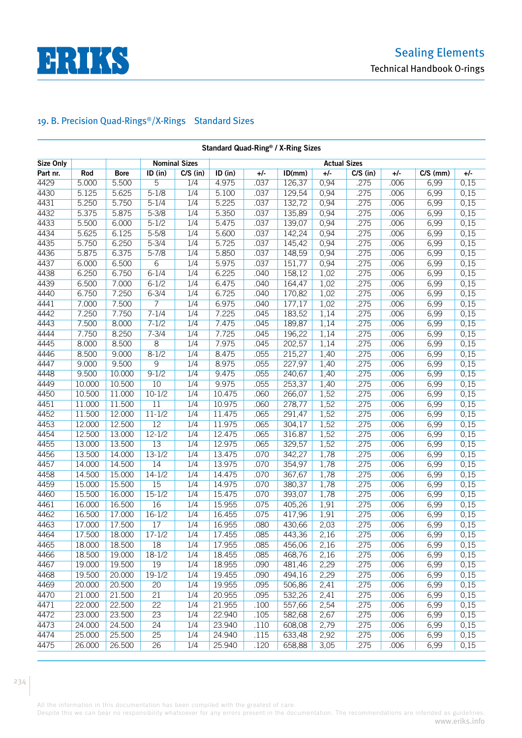

| Standard Quad-Ring® / X-Ring Sizes |        |             |                 |                      |         |       |        |                     |            |       |            |       |
|------------------------------------|--------|-------------|-----------------|----------------------|---------|-------|--------|---------------------|------------|-------|------------|-------|
| <b>Size Only</b>                   |        |             |                 | <b>Nominal Sizes</b> |         |       |        | <b>Actual Sizes</b> |            |       |            |       |
| Part nr.                           | Rod    | <b>Bore</b> | ID (in)         | $C/S$ (in)           | ID (in) | $+/-$ | ID(mm) | $+/-$               | $C/S$ (in) | $+/-$ | $C/S$ (mm) | $+/-$ |
| 4429                               | 5.000  | 5.500       | $\overline{5}$  | 1/4                  | 4.975   | .037  | 126,37 | 0,94                | .275       | .006  | 6,99       | 0,15  |
| 4430                               | 5.125  | 5.625       | $5 - 1/8$       | 1/4                  | 5.100   | .037  | 129,54 | 0,94                | .275       | .006  | 6,99       | 0,15  |
| 4431                               | 5.250  | 5.750       | $5 - 1/4$       | 1/4                  | 5.225   | .037  | 132,72 | 0,94                | .275       | .006  | 6,99       | 0,15  |
| 4432                               | 5.375  | 5.875       | $5 - 3/8$       | 1/4                  | 5.350   | .037  | 135,89 | 0,94                | .275       | .006  | 6,99       | 0,15  |
| 4433                               | 5.500  | 6.000       | $5 - 1/2$       | 1/4                  | 5.475   | .037  | 139,07 | 0,94                | .275       | .006  | 6,99       | 0,15  |
| 4434                               | 5.625  | 6.125       | $5 - 5/8$       | 1/4                  | 5.600   | .037  | 142,24 | 0,94                | .275       | .006  | 6,99       | 0,15  |
| 4435                               | 5.750  | 6.250       | $5 - 3/4$       | 1/4                  | 5.725   | .037  | 145,42 | 0,94                | .275       | .006  | 6,99       | 0,15  |
| 4436                               | 5.875  | 6.375       | $5 - 7/8$       | 1/4                  | 5.850   | .037  | 148,59 | 0,94                | .275       | .006  | 6,99       | 0,15  |
| 4437                               | 6.000  | 6.500       | $\overline{6}$  | 1/4                  | 5.975   | .037  | 151,77 | 0,94                | .275       | .006  | 6,99       | 0,15  |
| 4438                               | 6.250  | 6.750       | $6 - 1/4$       | 1/4                  | 6.225   | .040  | 158,12 | 1,02                | .275       | .006  | 6,99       | 0,15  |
| 4439                               | 6.500  | 7.000       | $6 - 1/2$       | 1/4                  | 6.475   | .040  | 164,47 | 1,02                | .275       | .006  | 6,99       | 0,15  |
| 4440                               | 6.750  | 7.250       | $6 - 3/4$       | 1/4                  | 6.725   | .040  | 170,82 | 1,02                | .275       | .006  | 6,99       | 0,15  |
| 4441                               | 7.000  | 7.500       | $\overline{7}$  | 1/4                  | 6.975   | .040  | 177,17 | 1,02                | .275       | .006  | 6,99       | 0,15  |
| 4442                               | 7.250  | 7.750       | $7 - 1/4$       | 1/4                  | 7.225   | .045  | 183,52 | 1,14                | .275       | .006  | 6,99       | 0,15  |
| 4443                               | 7.500  | 8.000       | $7 - 1/2$       | 1/4                  | 7.475   | .045  | 189,87 | 1,14                | .275       | .006  | 6,99       | 0,15  |
| 4444                               | 7.750  | 8.250       | $7 - 3/4$       | 1/4                  | 7.725   | .045  | 196,22 | 1,14                | .275       | .006  | 6,99       | 0,15  |
| 4445                               | 8.000  | 8.500       | $\overline{8}$  | 1/4                  | 7.975   | .045  | 202,57 | 1,14                | .275       | .006  | 6,99       | 0,15  |
| 4446                               | 8.500  | 9.000       | $8 - 1/2$       | 1/4                  | 8.475   | .055  | 215,27 | 1,40                | .275       | .006  | 6,99       | 0,15  |
| 4447                               | 9.000  | 9.500       | $\overline{9}$  | 1/4                  | 8.975   | .055  | 227,97 | 1,40                | .275       | .006  | 6,99       | 0,15  |
| 4448                               | 9.500  | 10.000      | $9 - 1/2$       | 1/4                  | 9.475   | .055  | 240,67 | 1,40                | .275       | .006  | 6,99       | 0,15  |
| 4449                               | 10.000 | 10.500      | 10              | 1/4                  | 9.975   | .055  | 253,37 | 1,40                | .275       | .006  | 6,99       | 0,15  |
| 4450                               | 10.500 | 11.000      | $10 - 1/2$      | 1/4                  | 10.475  | .060  | 266,07 | 1,52                | .275       | .006  | 6,99       | 0,15  |
| 4451                               | 11.000 | 11.500      | 11              | 1/4                  | 10.975  | .060  | 278,77 | 1,52                | .275       | .006  | 6,99       | 0,15  |
| 4452                               | 11.500 | 12.000      | $11 - 1/2$      | 1/4                  | 11.475  | .065  | 291,47 | 1,52                | .275       | .006  | 6,99       | 0,15  |
| 4453                               | 12.000 | 12.500      | 12              | 1/4                  | 11.975  | .065  | 304,17 | 1,52                | .275       | .006  | 6,99       | 0,15  |
| 4454                               | 12.500 | 13.000      | $12 - 1/2$      | 1/4                  | 12.475  | .065  | 316.87 | 1,52                | .275       | .006  | 6,99       | 0,15  |
| 4455                               | 13.000 | 13.500      | 13              | 1/4                  | 12.975  | .065  | 329,57 | 1,52                | .275       | .006  | 6,99       | 0,15  |
| 4456                               | 13.500 | 14.000      | $13 - 1/2$      | 1/4                  | 13.475  | .070  | 342,27 | 1,78                | .275       | .006  | 6,99       | 0,15  |
| 4457                               | 14.000 | 14.500      | 14              | 1/4                  | 13.975  | .070  | 354,97 | 1,78                | .275       | .006  | 6,99       | 0,15  |
| 4458                               | 14.500 | 15.000      | $14 - 1/2$      | 1/4                  | 14.475  | .070  | 367,67 | 1,78                | .275       | .006  | 6,99       | 0,15  |
| 4459                               | 15.000 | 15.500      | 15              | 1/4                  | 14.975  | .070  | 380,37 | 1,78                | .275       | .006  | 6,99       | 0,15  |
| 4460                               | 15.500 | 16.000      | $15 - 1/2$      | 1/4                  | 15.475  | .070  | 393,07 | 1,78                | .275       | .006  | 6,99       | 0,15  |
| 4461                               | 16.000 | 16.500      | 16              | 1/4                  | 15.955  | .075  | 405,26 | 1,91                | .275       | .006  | 6,99       | 0,15  |
| 4462                               | 16.500 | 17.000      | $16 - 1/2$      | 1/4                  | 16.455  | .075  | 417,96 | 1,91                | .275       | .006  | 6,99       | 0,15  |
| 4463                               | 17.000 | 17.500      | $\overline{17}$ | 1/4                  | 16.955  | .080  | 430,66 | 2,03                | .275       | .006  | 6,99       | 0,15  |
| 4464                               | 17.500 | 18.000      | $17 - 1/2$      | 1/4                  | 17.455  | .085  | 443,36 | 2,16                | .275       | .006  | 6,99       | 0,15  |
| 4465                               | 18.000 | 18.500      | 18              | 1/4                  | 17.955  | .085  | 456,06 | 2,16                | .275       | .006  | 6,99       | 0,15  |
| 4466                               | 18.500 | 19.000      | $18 - 1/2$      | 1/4                  | 18.455  | .085  | 468,76 | 2,16                | .275       | .006  | 6,99       | 0,15  |
| 4467                               | 19.000 | 19.500      | 19              | 1/4                  | 18.955  | .090  | 481,46 | 2,29                | .275       | .006  | 6,99       | 0,15  |
| 4468                               | 19.500 | 20.000      | $19 - 1/2$      | 1/4                  | 19.455  | .090  | 494,16 | 2,29                | .275       | .006  | 6,99       | 0,15  |
| 4469                               | 20.000 | 20.500      | 20              | 1/4                  | 19.955  | .095  | 506,86 | 2,41                | .275       | .006  | 6,99       | 0,15  |
| 4470                               | 21.000 | 21.500      | 21              | 1/4                  | 20.955  | .095  | 532,26 | 2,41                | .275       | .006  | 6,99       | 0,15  |
| 4471                               | 22.000 | 22.500      | 22              | 1/4                  | 21.955  | .100  | 557,66 | 2,54                | .275       | .006  | 6,99       | 0,15  |
| 4472                               | 23.000 | 23.500      | 23              | 1/4                  | 22.940  | .105  | 582,68 | 2,67                | .275       | .006  | 6,99       | 0,15  |
| 4473                               | 24.000 | 24.500      | 24              | 1/4                  | 23.940  | .110  | 608,08 | 2,79                | .275       | .006  | 6,99       | 0,15  |
| 4474                               | 25.000 | 25.500      | 25              | 1/4                  | 24.940  | .115  | 633,48 | 2,92                | .275       | .006  | 6,99       | 0,15  |
| 4475                               | 26.000 | 26.500      | 26              | 1/4                  | 25.940  | .120  | 658,88 | 3,05                | .275       | .006  | 6,99       | 0,15  |

All the information in this documentation has been compiled with the greatest of care.